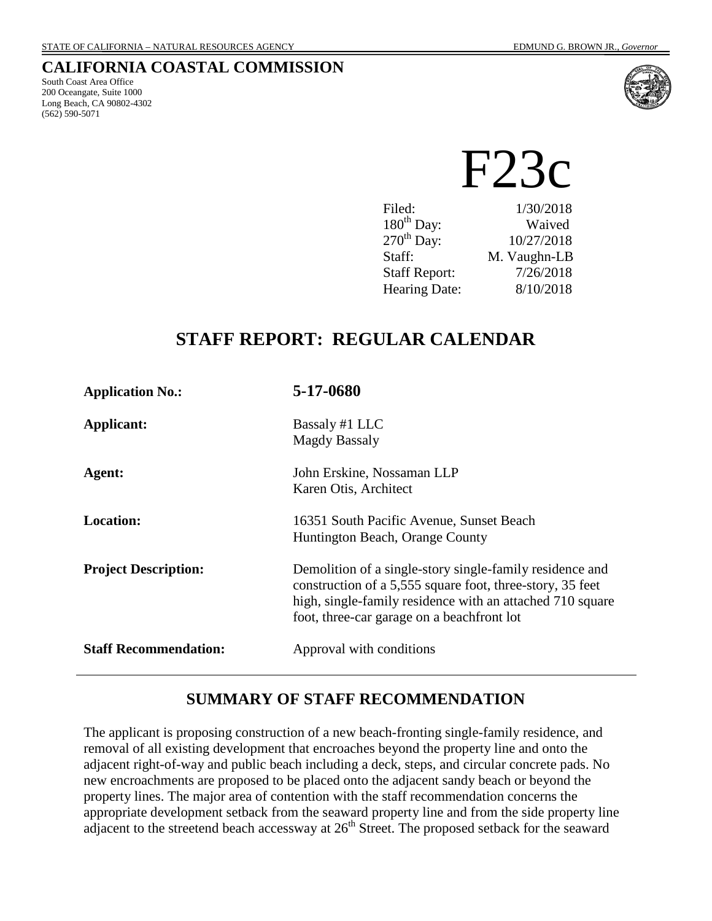## **CALIFORNIA COASTAL COMMISSION**

South Coast Area Office 200 Oceangate, Suite 1000 Long Beach, CA 90802-4302 (562) 590-5071



F23c

| Filed:                 | 1/30/2018    |
|------------------------|--------------|
| $180^{th}$ Day:        | Waived       |
| $270^{\text{th}}$ Day: | 10/27/2018   |
| Staff:                 | M. Vaughn-LB |
| <b>Staff Report:</b>   | 7/26/2018    |
| <b>Hearing Date:</b>   | 8/10/2018    |

# **STAFF REPORT: REGULAR CALENDAR**

| <b>Application No.:</b>      | 5-17-0680                                                                                                                                                                                                                        |
|------------------------------|----------------------------------------------------------------------------------------------------------------------------------------------------------------------------------------------------------------------------------|
| Applicant:                   | Bassaly #1 LLC<br><b>Magdy Bassaly</b>                                                                                                                                                                                           |
| Agent:                       | John Erskine, Nossaman LLP<br>Karen Otis, Architect                                                                                                                                                                              |
| <b>Location:</b>             | 16351 South Pacific Avenue, Sunset Beach<br>Huntington Beach, Orange County                                                                                                                                                      |
| <b>Project Description:</b>  | Demolition of a single-story single-family residence and<br>construction of a 5,555 square foot, three-story, 35 feet<br>high, single-family residence with an attached 710 square<br>foot, three-car garage on a beachfront lot |
| <b>Staff Recommendation:</b> | Approval with conditions                                                                                                                                                                                                         |

## **SUMMARY OF STAFF RECOMMENDATION**

The applicant is proposing construction of a new beach-fronting single-family residence, and removal of all existing development that encroaches beyond the property line and onto the adjacent right-of-way and public beach including a deck, steps, and circular concrete pads. No new encroachments are proposed to be placed onto the adjacent sandy beach or beyond the property lines. The major area of contention with the staff recommendation concerns the appropriate development setback from the seaward property line and from the side property line adjacent to the streetend beach accessway at 26<sup>th</sup> Street. The proposed setback for the seaward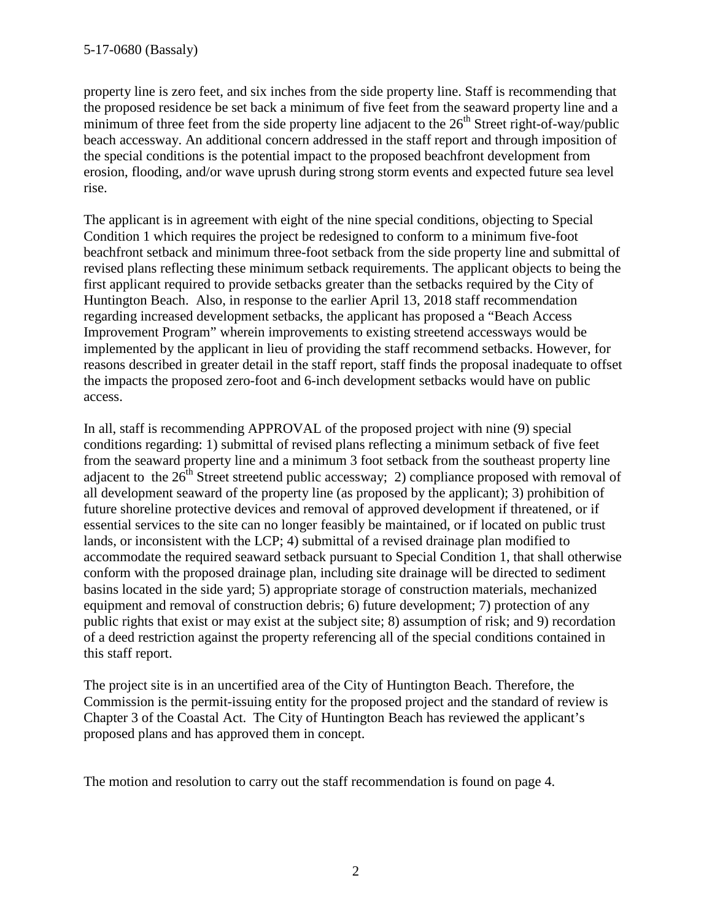property line is zero feet, and six inches from the side property line. Staff is recommending that the proposed residence be set back a minimum of five feet from the seaward property line and a minimum of three feet from the side property line adjacent to the  $26<sup>th</sup>$  Street right-of-way/public beach accessway. An additional concern addressed in the staff report and through imposition of the special conditions is the potential impact to the proposed beachfront development from erosion, flooding, and/or wave uprush during strong storm events and expected future sea level rise.

The applicant is in agreement with eight of the nine special conditions, objecting to Special Condition 1 which requires the project be redesigned to conform to a minimum five-foot beachfront setback and minimum three-foot setback from the side property line and submittal of revised plans reflecting these minimum setback requirements. The applicant objects to being the first applicant required to provide setbacks greater than the setbacks required by the City of Huntington Beach. Also, in response to the earlier April 13, 2018 staff recommendation regarding increased development setbacks, the applicant has proposed a "Beach Access Improvement Program" wherein improvements to existing streetend accessways would be implemented by the applicant in lieu of providing the staff recommend setbacks. However, for reasons described in greater detail in the staff report, staff finds the proposal inadequate to offset the impacts the proposed zero-foot and 6-inch development setbacks would have on public access.

In all, staff is recommending APPROVAL of the proposed project with nine (9) special conditions regarding: 1) submittal of revised plans reflecting a minimum setback of five feet from the seaward property line and a minimum 3 foot setback from the southeast property line adjacent to the  $26<sup>th</sup>$  Street streetend public accessway; 2) compliance proposed with removal of all development seaward of the property line (as proposed by the applicant); 3) prohibition of future shoreline protective devices and removal of approved development if threatened, or if essential services to the site can no longer feasibly be maintained, or if located on public trust lands, or inconsistent with the LCP; 4) submittal of a revised drainage plan modified to accommodate the required seaward setback pursuant to Special Condition 1, that shall otherwise conform with the proposed drainage plan, including site drainage will be directed to sediment basins located in the side yard; 5) appropriate storage of construction materials, mechanized equipment and removal of construction debris; 6) future development; 7) protection of any public rights that exist or may exist at the subject site; 8) assumption of risk; and 9) recordation of a deed restriction against the property referencing all of the special conditions contained in this staff report.

The project site is in an uncertified area of the City of Huntington Beach. Therefore, the Commission is the permit-issuing entity for the proposed project and the standard of review is Chapter 3 of the Coastal Act. The City of Huntington Beach has reviewed the applicant's proposed plans and has approved them in concept.

The motion and resolution to carry out the staff recommendation is found on page 4.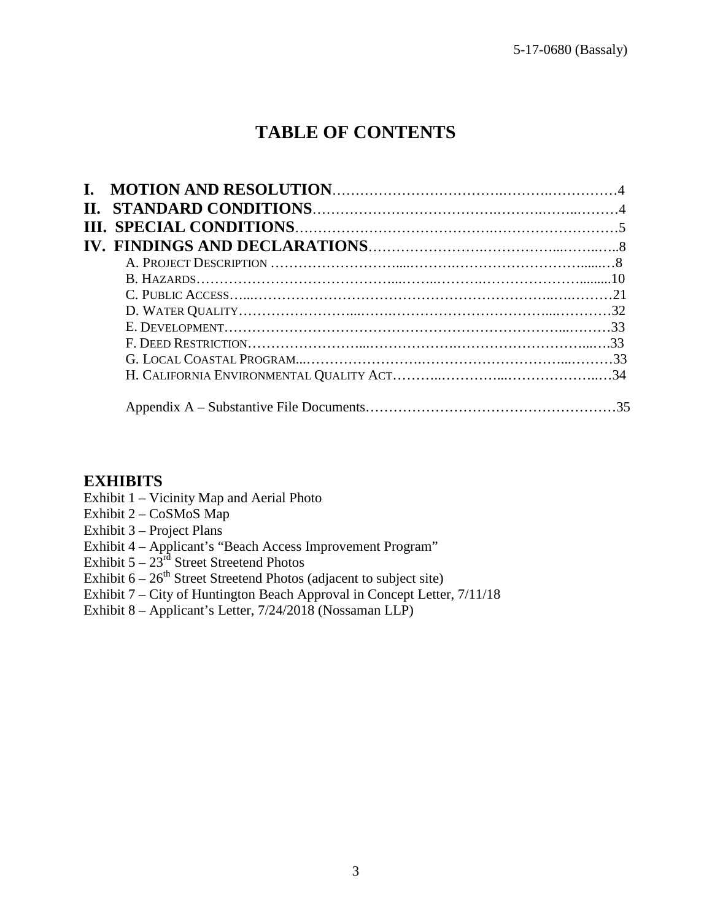# **TABLE OF CONTENTS**

## **EXHIBITS**

- Exhibit 1 Vicinity Map and Aerial Photo
- Exhibit 2 CoSMoS Map
- Exhibit 3 Project Plans
- Exhibit 4 Applicant's "Beach Access Improvement Program"
- Exhibit  $5 23^{rd}$  Street Streetend Photos
- Exhibit  $6-26^{th}$  Street Streetend Photos (adjacent to subject site)
- Exhibit 7 City of Huntington Beach Approval in Concept Letter, 7/11/18
- Exhibit 8 Applicant's Letter, 7/24/2018 (Nossaman LLP)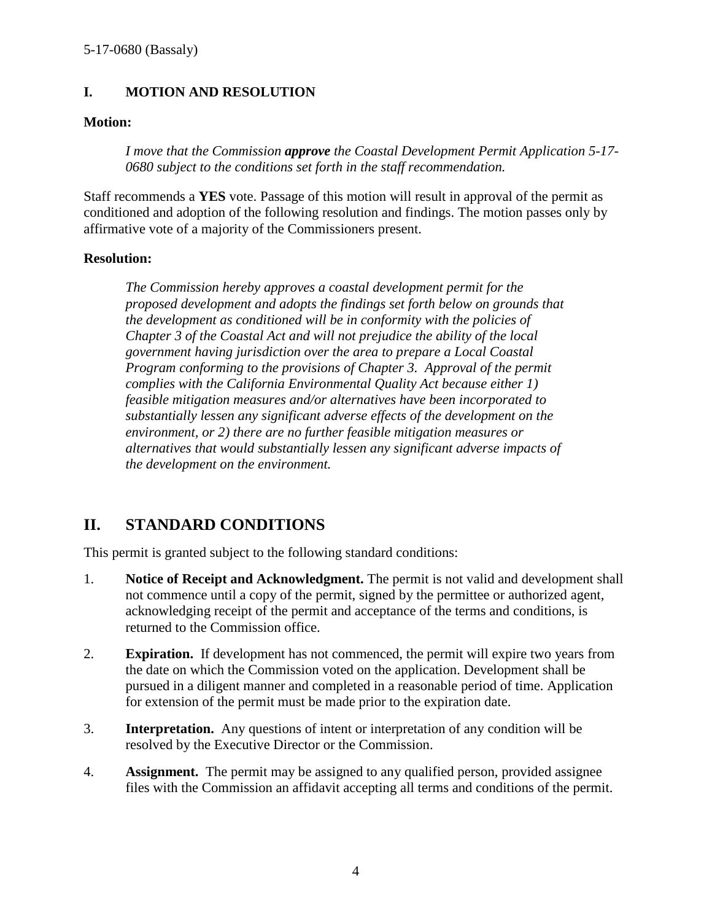## **I. MOTION AND RESOLUTION**

## **Motion:**

*I move that the Commission approve the Coastal Development Permit Application 5-17- 0680 subject to the conditions set forth in the staff recommendation.* 

Staff recommends a **YES** vote. Passage of this motion will result in approval of the permit as conditioned and adoption of the following resolution and findings. The motion passes only by affirmative vote of a majority of the Commissioners present.

## **Resolution:**

*The Commission hereby approves a coastal development permit for the proposed development and adopts the findings set forth below on grounds that the development as conditioned will be in conformity with the policies of Chapter 3 of the Coastal Act and will not prejudice the ability of the local government having jurisdiction over the area to prepare a Local Coastal Program conforming to the provisions of Chapter 3. Approval of the permit complies with the California Environmental Quality Act because either 1) feasible mitigation measures and/or alternatives have been incorporated to substantially lessen any significant adverse effects of the development on the environment, or 2) there are no further feasible mitigation measures or alternatives that would substantially lessen any significant adverse impacts of the development on the environment.* 

## **II. STANDARD CONDITIONS**

This permit is granted subject to the following standard conditions:

- 1. **Notice of Receipt and Acknowledgment.** The permit is not valid and development shall not commence until a copy of the permit, signed by the permittee or authorized agent, acknowledging receipt of the permit and acceptance of the terms and conditions, is returned to the Commission office.
- 2. **Expiration.** If development has not commenced, the permit will expire two years from the date on which the Commission voted on the application. Development shall be pursued in a diligent manner and completed in a reasonable period of time. Application for extension of the permit must be made prior to the expiration date.
- 3. **Interpretation.** Any questions of intent or interpretation of any condition will be resolved by the Executive Director or the Commission.
- 4. **Assignment.** The permit may be assigned to any qualified person, provided assignee files with the Commission an affidavit accepting all terms and conditions of the permit.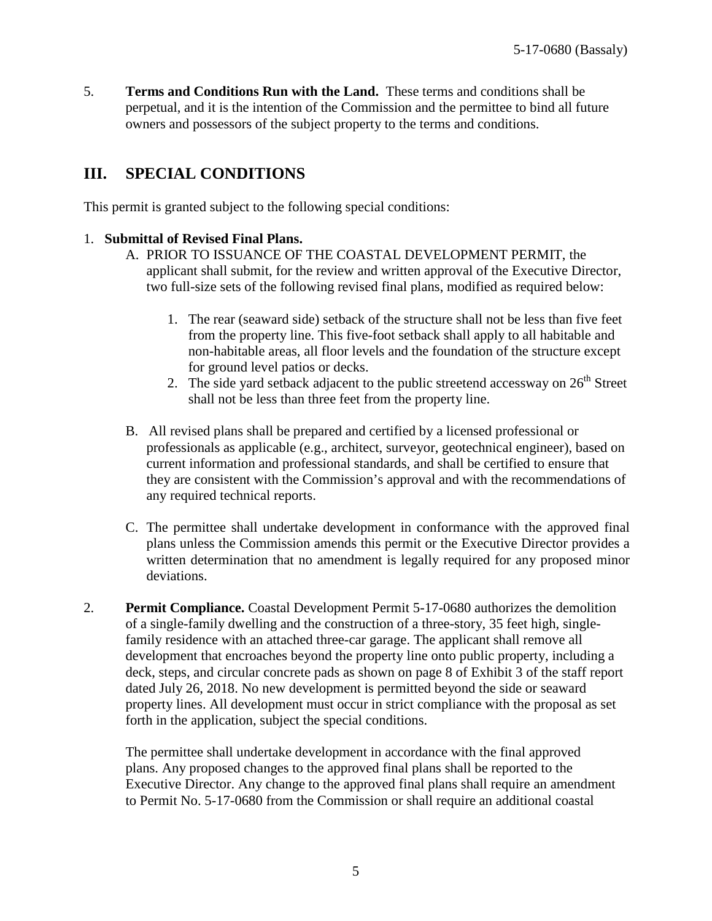5. **Terms and Conditions Run with the Land.** These terms and conditions shall be perpetual, and it is the intention of the Commission and the permittee to bind all future owners and possessors of the subject property to the terms and conditions.

## **III. SPECIAL CONDITIONS**

This permit is granted subject to the following special conditions:

#### 1. **Submittal of Revised Final Plans.**

- A. PRIOR TO ISSUANCE OF THE COASTAL DEVELOPMENT PERMIT, the applicant shall submit, for the review and written approval of the Executive Director, two full-size sets of the following revised final plans, modified as required below:
	- 1. The rear (seaward side) setback of the structure shall not be less than five feet from the property line. This five-foot setback shall apply to all habitable and non-habitable areas, all floor levels and the foundation of the structure except for ground level patios or decks.
	- 2. The side yard setback adjacent to the public streetend accessway on  $26<sup>th</sup>$  Street shall not be less than three feet from the property line.
- B. All revised plans shall be prepared and certified by a licensed professional or professionals as applicable (e.g., architect, surveyor, geotechnical engineer), based on current information and professional standards, and shall be certified to ensure that they are consistent with the Commission's approval and with the recommendations of any required technical reports.
- C. The permittee shall undertake development in conformance with the approved final plans unless the Commission amends this permit or the Executive Director provides a written determination that no amendment is legally required for any proposed minor deviations.
- 2. **Permit Compliance.** Coastal Development Permit 5-17-0680 authorizes the demolition of a single-family dwelling and the construction of a three-story, 35 feet high, singlefamily residence with an attached three-car garage. The applicant shall remove all development that encroaches beyond the property line onto public property, including a deck, steps, and circular concrete pads as shown on page 8 of Exhibit 3 of the staff report dated July 26, 2018. No new development is permitted beyond the side or seaward property lines. All development must occur in strict compliance with the proposal as set forth in the application, subject the special conditions.

The permittee shall undertake development in accordance with the final approved plans. Any proposed changes to the approved final plans shall be reported to the Executive Director. Any change to the approved final plans shall require an amendment to Permit No. 5-17-0680 from the Commission or shall require an additional coastal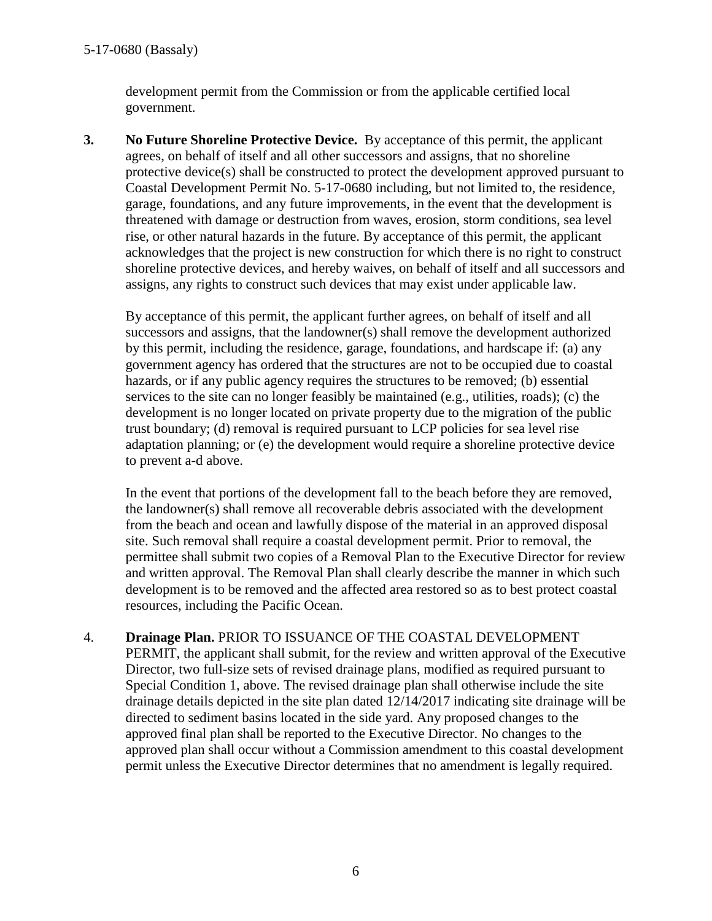development permit from the Commission or from the applicable certified local government.

**3. No Future Shoreline Protective Device.** By acceptance of this permit, the applicant agrees, on behalf of itself and all other successors and assigns, that no shoreline protective device(s) shall be constructed to protect the development approved pursuant to Coastal Development Permit No. 5-17-0680 including, but not limited to, the residence, garage, foundations, and any future improvements, in the event that the development is threatened with damage or destruction from waves, erosion, storm conditions, sea level rise, or other natural hazards in the future. By acceptance of this permit, the applicant acknowledges that the project is new construction for which there is no right to construct shoreline protective devices, and hereby waives, on behalf of itself and all successors and assigns, any rights to construct such devices that may exist under applicable law.

By acceptance of this permit, the applicant further agrees, on behalf of itself and all successors and assigns, that the landowner(s) shall remove the development authorized by this permit, including the residence, garage, foundations, and hardscape if: (a) any government agency has ordered that the structures are not to be occupied due to coastal hazards, or if any public agency requires the structures to be removed; (b) essential services to the site can no longer feasibly be maintained (e.g., utilities, roads); (c) the development is no longer located on private property due to the migration of the public trust boundary; (d) removal is required pursuant to LCP policies for sea level rise adaptation planning; or (e) the development would require a shoreline protective device to prevent a-d above.

In the event that portions of the development fall to the beach before they are removed, the landowner(s) shall remove all recoverable debris associated with the development from the beach and ocean and lawfully dispose of the material in an approved disposal site. Such removal shall require a coastal development permit. Prior to removal, the permittee shall submit two copies of a Removal Plan to the Executive Director for review and written approval. The Removal Plan shall clearly describe the manner in which such development is to be removed and the affected area restored so as to best protect coastal resources, including the Pacific Ocean.

## 4. **Drainage Plan.** PRIOR TO ISSUANCE OF THE COASTAL DEVELOPMENT

PERMIT, the applicant shall submit, for the review and written approval of the Executive Director, two full-size sets of revised drainage plans, modified as required pursuant to Special Condition 1, above. The revised drainage plan shall otherwise include the site drainage details depicted in the site plan dated 12/14/2017 indicating site drainage will be directed to sediment basins located in the side yard. Any proposed changes to the approved final plan shall be reported to the Executive Director. No changes to the approved plan shall occur without a Commission amendment to this coastal development permit unless the Executive Director determines that no amendment is legally required.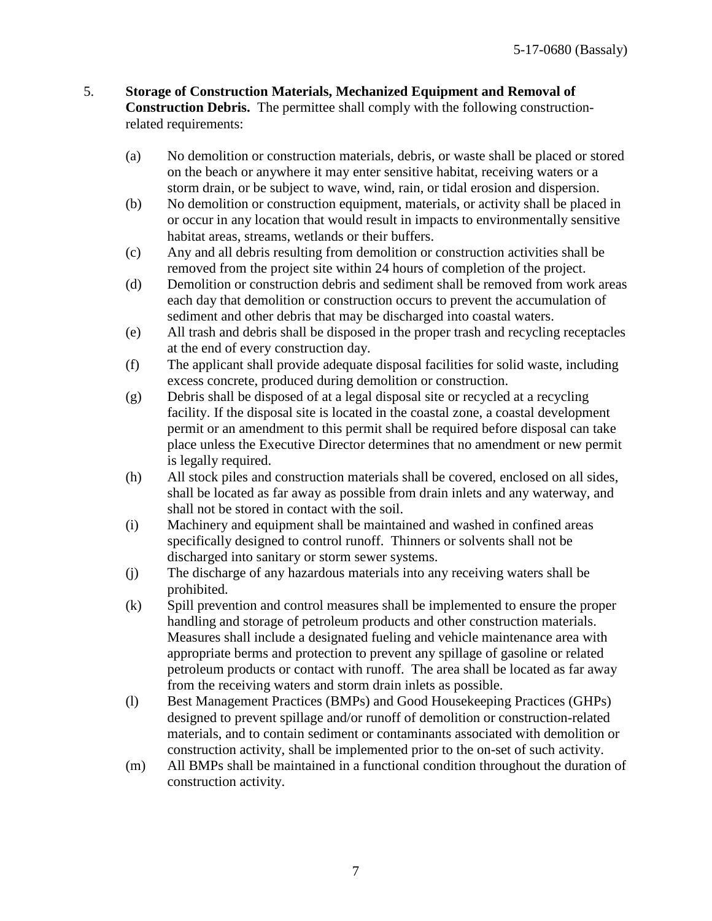- 5. **Storage of Construction Materials, Mechanized Equipment and Removal of Construction Debris.** The permittee shall comply with the following constructionrelated requirements:
	- (a) No demolition or construction materials, debris, or waste shall be placed or stored on the beach or anywhere it may enter sensitive habitat, receiving waters or a storm drain, or be subject to wave, wind, rain, or tidal erosion and dispersion.
	- (b) No demolition or construction equipment, materials, or activity shall be placed in or occur in any location that would result in impacts to environmentally sensitive habitat areas, streams, wetlands or their buffers.
	- (c) Any and all debris resulting from demolition or construction activities shall be removed from the project site within 24 hours of completion of the project.
	- (d) Demolition or construction debris and sediment shall be removed from work areas each day that demolition or construction occurs to prevent the accumulation of sediment and other debris that may be discharged into coastal waters.
	- (e) All trash and debris shall be disposed in the proper trash and recycling receptacles at the end of every construction day.
	- (f) The applicant shall provide adequate disposal facilities for solid waste, including excess concrete, produced during demolition or construction.
	- (g) Debris shall be disposed of at a legal disposal site or recycled at a recycling facility. If the disposal site is located in the coastal zone, a coastal development permit or an amendment to this permit shall be required before disposal can take place unless the Executive Director determines that no amendment or new permit is legally required.
	- (h) All stock piles and construction materials shall be covered, enclosed on all sides, shall be located as far away as possible from drain inlets and any waterway, and shall not be stored in contact with the soil.
	- (i) Machinery and equipment shall be maintained and washed in confined areas specifically designed to control runoff. Thinners or solvents shall not be discharged into sanitary or storm sewer systems.
	- (j) The discharge of any hazardous materials into any receiving waters shall be prohibited.
	- (k) Spill prevention and control measures shall be implemented to ensure the proper handling and storage of petroleum products and other construction materials. Measures shall include a designated fueling and vehicle maintenance area with appropriate berms and protection to prevent any spillage of gasoline or related petroleum products or contact with runoff. The area shall be located as far away from the receiving waters and storm drain inlets as possible.
	- (l) Best Management Practices (BMPs) and Good Housekeeping Practices (GHPs) designed to prevent spillage and/or runoff of demolition or construction-related materials, and to contain sediment or contaminants associated with demolition or construction activity, shall be implemented prior to the on-set of such activity.
	- (m) All BMPs shall be maintained in a functional condition throughout the duration of construction activity.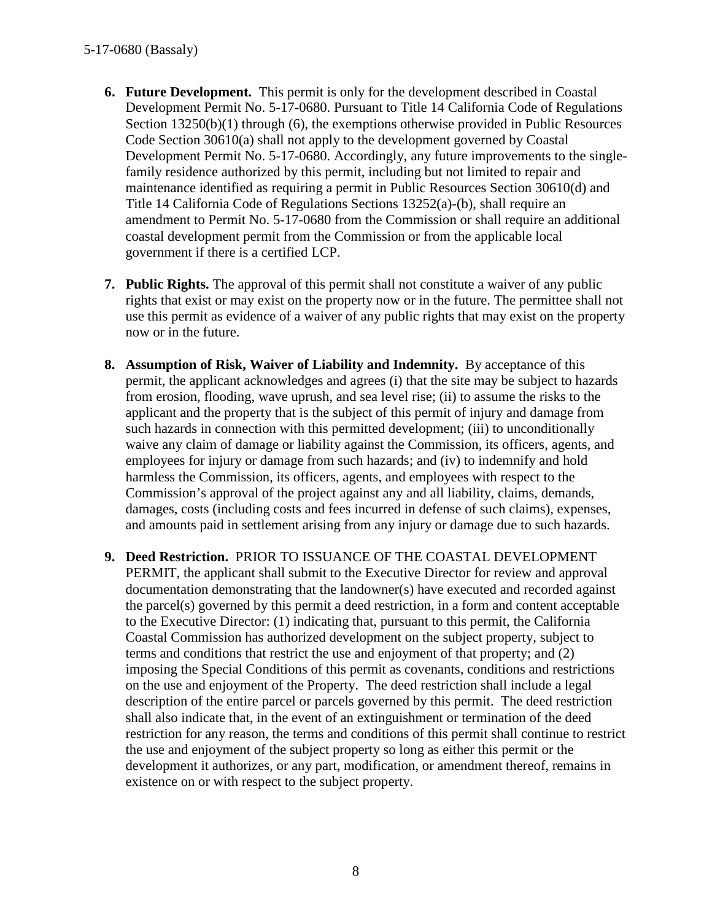- **6. Future Development.** This permit is only for the development described in Coastal Development Permit No. 5-17-0680. Pursuant to Title 14 California Code of Regulations Section 13250(b)(1) through (6), the exemptions otherwise provided in Public Resources Code Section 30610(a) shall not apply to the development governed by Coastal Development Permit No. 5-17-0680. Accordingly, any future improvements to the singlefamily residence authorized by this permit, including but not limited to repair and maintenance identified as requiring a permit in Public Resources Section 30610(d) and Title 14 California Code of Regulations Sections 13252(a)-(b), shall require an amendment to Permit No. 5-17-0680 from the Commission or shall require an additional coastal development permit from the Commission or from the applicable local government if there is a certified LCP.
- **7. Public Rights.** The approval of this permit shall not constitute a waiver of any public rights that exist or may exist on the property now or in the future. The permittee shall not use this permit as evidence of a waiver of any public rights that may exist on the property now or in the future.
- **8. Assumption of Risk, Waiver of Liability and Indemnity.** By acceptance of this permit, the applicant acknowledges and agrees (i) that the site may be subject to hazards from erosion, flooding, wave uprush, and sea level rise; (ii) to assume the risks to the applicant and the property that is the subject of this permit of injury and damage from such hazards in connection with this permitted development; (iii) to unconditionally waive any claim of damage or liability against the Commission, its officers, agents, and employees for injury or damage from such hazards; and (iv) to indemnify and hold harmless the Commission, its officers, agents, and employees with respect to the Commission's approval of the project against any and all liability, claims, demands, damages, costs (including costs and fees incurred in defense of such claims), expenses, and amounts paid in settlement arising from any injury or damage due to such hazards.
- **9. Deed Restriction.** PRIOR TO ISSUANCE OF THE COASTAL DEVELOPMENT PERMIT, the applicant shall submit to the Executive Director for review and approval documentation demonstrating that the landowner(s) have executed and recorded against the parcel(s) governed by this permit a deed restriction, in a form and content acceptable to the Executive Director: (1) indicating that, pursuant to this permit, the California Coastal Commission has authorized development on the subject property, subject to terms and conditions that restrict the use and enjoyment of that property; and (2) imposing the Special Conditions of this permit as covenants, conditions and restrictions on the use and enjoyment of the Property. The deed restriction shall include a legal description of the entire parcel or parcels governed by this permit. The deed restriction shall also indicate that, in the event of an extinguishment or termination of the deed restriction for any reason, the terms and conditions of this permit shall continue to restrict the use and enjoyment of the subject property so long as either this permit or the development it authorizes, or any part, modification, or amendment thereof, remains in existence on or with respect to the subject property.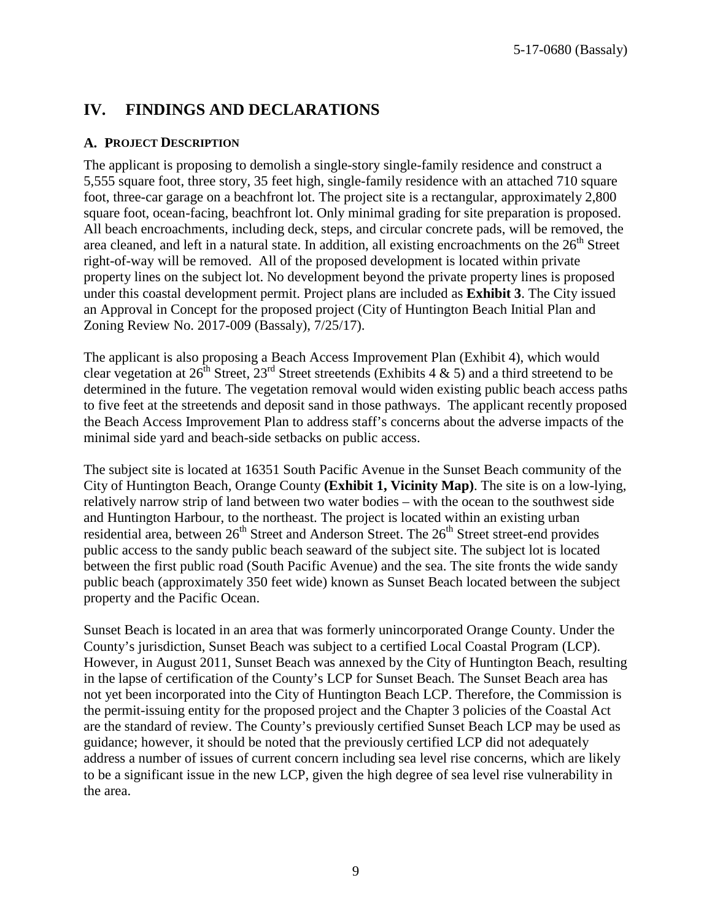## **IV. FINDINGS AND DECLARATIONS**

## **A. PROJECT DESCRIPTION**

The applicant is proposing to demolish a single-story single-family residence and construct a 5,555 square foot, three story, 35 feet high, single-family residence with an attached 710 square foot, three-car garage on a beachfront lot. The project site is a rectangular, approximately 2,800 square foot, ocean-facing, beachfront lot. Only minimal grading for site preparation is proposed. All beach encroachments, including deck, steps, and circular concrete pads, will be removed, the area cleaned, and left in a natural state. In addition, all existing encroachments on the  $26<sup>th</sup>$  Street right-of-way will be removed. All of the proposed development is located within private property lines on the subject lot. No development beyond the private property lines is proposed under this coastal development permit. Project plans are included as **Exhibit 3**. The City issued an Approval in Concept for the proposed project (City of Huntington Beach Initial Plan and Zoning Review No. 2017-009 (Bassaly), 7/25/17).

The applicant is also proposing a Beach Access Improvement Plan (Exhibit 4), which would clear vegetation at  $26^{\text{th}}$  Street,  $23^{\text{rd}}$  Street streetends (Exhibits 4 & 5) and a third streetend to be determined in the future. The vegetation removal would widen existing public beach access paths to five feet at the streetends and deposit sand in those pathways. The applicant recently proposed the Beach Access Improvement Plan to address staff's concerns about the adverse impacts of the minimal side yard and beach-side setbacks on public access.

The subject site is located at 16351 South Pacific Avenue in the Sunset Beach community of the City of Huntington Beach, Orange County **(Exhibit 1, Vicinity Map)**. The site is on a low-lying, relatively narrow strip of land between two water bodies – with the ocean to the southwest side and Huntington Harbour, to the northeast. The project is located within an existing urban residential area, between 26<sup>th</sup> Street and Anderson Street. The 26<sup>th</sup> Street street-end provides public access to the sandy public beach seaward of the subject site. The subject lot is located between the first public road (South Pacific Avenue) and the sea. The site fronts the wide sandy public beach (approximately 350 feet wide) known as Sunset Beach located between the subject property and the Pacific Ocean.

Sunset Beach is located in an area that was formerly unincorporated Orange County. Under the County's jurisdiction, Sunset Beach was subject to a certified Local Coastal Program (LCP). However, in August 2011, Sunset Beach was annexed by the City of Huntington Beach, resulting in the lapse of certification of the County's LCP for Sunset Beach. The Sunset Beach area has not yet been incorporated into the City of Huntington Beach LCP. Therefore, the Commission is the permit-issuing entity for the proposed project and the Chapter 3 policies of the Coastal Act are the standard of review. The County's previously certified Sunset Beach LCP may be used as guidance; however, it should be noted that the previously certified LCP did not adequately address a number of issues of current concern including sea level rise concerns, which are likely to be a significant issue in the new LCP, given the high degree of sea level rise vulnerability in the area.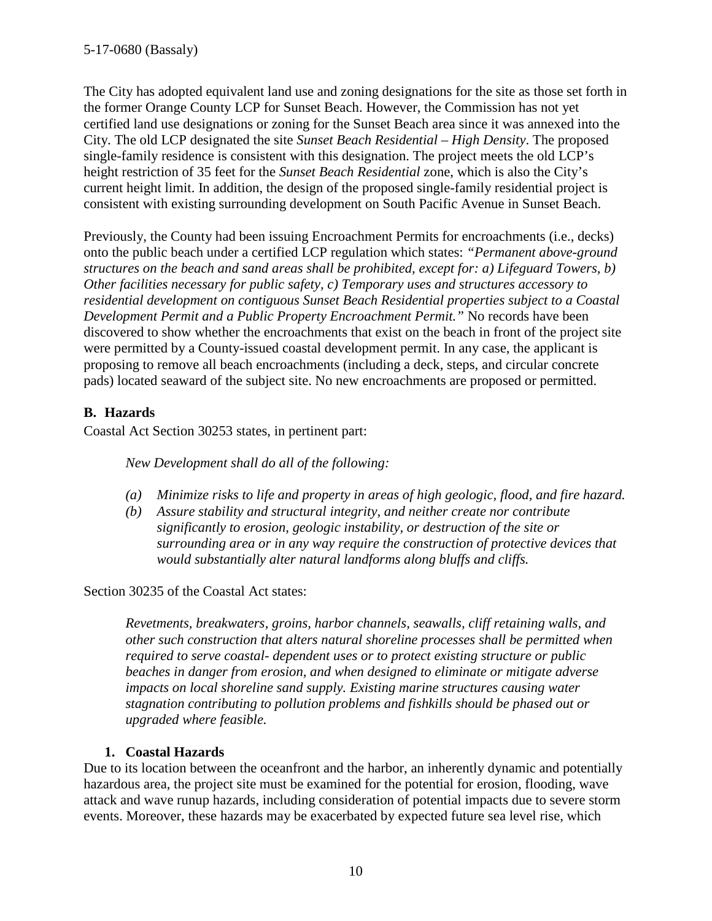The City has adopted equivalent land use and zoning designations for the site as those set forth in the former Orange County LCP for Sunset Beach. However, the Commission has not yet certified land use designations or zoning for the Sunset Beach area since it was annexed into the City. The old LCP designated the site *Sunset Beach Residential – High Density*. The proposed single-family residence is consistent with this designation. The project meets the old LCP's height restriction of 35 feet for the *Sunset Beach Residential* zone, which is also the City's current height limit. In addition, the design of the proposed single-family residential project is consistent with existing surrounding development on South Pacific Avenue in Sunset Beach.

Previously, the County had been issuing Encroachment Permits for encroachments (i.e., decks) onto the public beach under a certified LCP regulation which states: *"Permanent above-ground structures on the beach and sand areas shall be prohibited, except for: a) Lifeguard Towers, b) Other facilities necessary for public safety, c) Temporary uses and structures accessory to residential development on contiguous Sunset Beach Residential properties subject to a Coastal Development Permit and a Public Property Encroachment Permit."* No records have been discovered to show whether the encroachments that exist on the beach in front of the project site were permitted by a County-issued coastal development permit. In any case, the applicant is proposing to remove all beach encroachments (including a deck, steps, and circular concrete pads) located seaward of the subject site. No new encroachments are proposed or permitted.

## **B. Hazards**

Coastal Act Section 30253 states, in pertinent part:

*New Development shall do all of the following:* 

- *(a) Minimize risks to life and property in areas of high geologic, flood, and fire hazard.*
- *(b) Assure stability and structural integrity, and neither create nor contribute significantly to erosion, geologic instability, or destruction of the site or surrounding area or in any way require the construction of protective devices that would substantially alter natural landforms along bluffs and cliffs.*

Section 30235 of the Coastal Act states:

*Revetments, breakwaters, groins, harbor channels, seawalls, cliff retaining walls, and other such construction that alters natural shoreline processes shall be permitted when required to serve coastal- dependent uses or to protect existing structure or public beaches in danger from erosion, and when designed to eliminate or mitigate adverse impacts on local shoreline sand supply. Existing marine structures causing water stagnation contributing to pollution problems and fishkills should be phased out or upgraded where feasible.* 

## **1. Coastal Hazards**

Due to its location between the oceanfront and the harbor, an inherently dynamic and potentially hazardous area, the project site must be examined for the potential for erosion, flooding, wave attack and wave runup hazards, including consideration of potential impacts due to severe storm events. Moreover, these hazards may be exacerbated by expected future sea level rise, which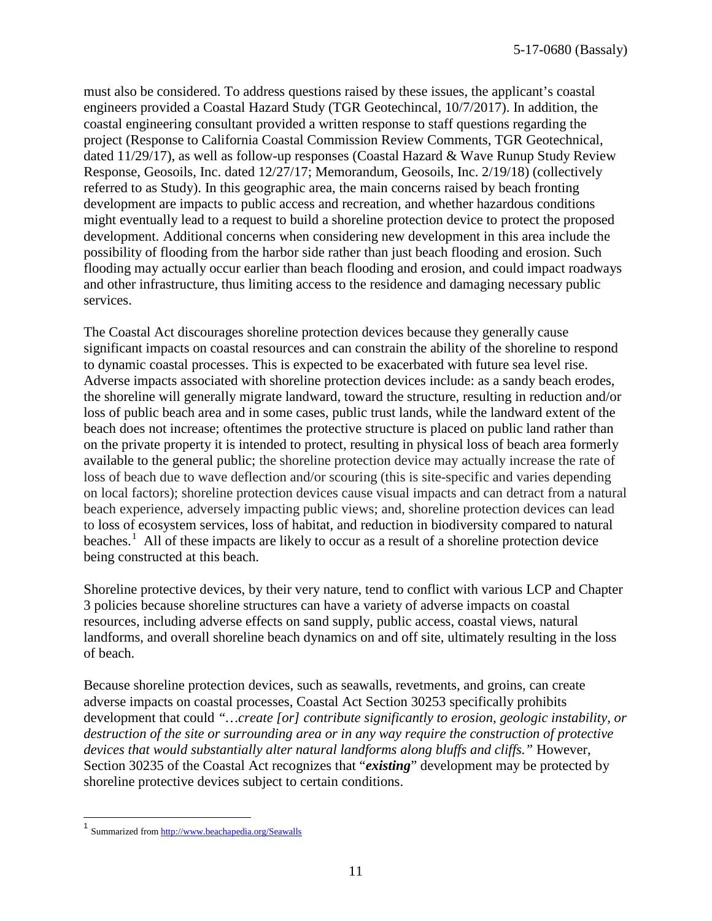must also be considered. To address questions raised by these issues, the applicant's coastal engineers provided a Coastal Hazard Study (TGR Geotechincal, 10/7/2017). In addition, the coastal engineering consultant provided a written response to staff questions regarding the project (Response to California Coastal Commission Review Comments, TGR Geotechnical, dated 11/29/17), as well as follow-up responses (Coastal Hazard & Wave Runup Study Review Response, Geosoils, Inc. dated 12/27/17; Memorandum, Geosoils, Inc. 2/19/18) (collectively referred to as Study). In this geographic area, the main concerns raised by beach fronting development are impacts to public access and recreation, and whether hazardous conditions might eventually lead to a request to build a shoreline protection device to protect the proposed development. Additional concerns when considering new development in this area include the possibility of flooding from the harbor side rather than just beach flooding and erosion. Such flooding may actually occur earlier than beach flooding and erosion, and could impact roadways and other infrastructure, thus limiting access to the residence and damaging necessary public services.

The Coastal Act discourages shoreline protection devices because they generally cause significant impacts on coastal resources and can constrain the ability of the shoreline to respond to dynamic coastal processes. This is expected to be exacerbated with future sea level rise. Adverse impacts associated with shoreline protection devices include: as a sandy beach erodes, the shoreline will generally migrate landward, toward the structure, resulting in reduction and/or loss of public beach area and in some cases, public trust lands, while the landward extent of the beach does not increase; oftentimes the protective structure is placed on public land rather than on the private property it is intended to protect, resulting in physical loss of beach area formerly available to the general public; the shoreline protection device may actually increase the rate of loss of beach due to wave deflection and/or scouring (this is site-specific and varies depending on local factors); shoreline protection devices cause visual impacts and can detract from a natural beach experience, adversely impacting public views; and, shoreline protection devices can lead to [loss of ecosystem services,](http://www.esajournals.org/doi/abs/10.1890/14-0716.1) [loss of habitat, and reduction in biodiversity](http://pubs.usgs.gov/sir/2010/5254/pdf/sir20105254_chap19.pdf) compared to natural beaches.<sup>[1](#page-10-0)</sup> All of these impacts are likely to occur as a result of a shoreline protection device being constructed at this beach.

Shoreline protective devices, by their very nature, tend to conflict with various LCP and Chapter 3 policies because shoreline structures can have a variety of adverse impacts on coastal resources, including adverse effects on sand supply, public access, coastal views, natural landforms, and overall shoreline beach dynamics on and off site, ultimately resulting in the loss of beach.

Because shoreline protection devices, such as seawalls, revetments, and groins, can create adverse impacts on coastal processes, Coastal Act Section 30253 specifically prohibits development that could *"…create [or] contribute significantly to erosion, geologic instability, or destruction of the site or surrounding area or in any way require the construction of protective devices that would substantially alter natural landforms along bluffs and cliffs."* However, Section 30235 of the Coastal Act recognizes that "*existing*" development may be protected by shoreline protective devices subject to certain conditions.

<span id="page-10-0"></span><sup>&</sup>lt;sup>1</sup> Summarized fro[m http://www.beachapedia.org/Seawalls](http://www.beachapedia.org/Seawalls)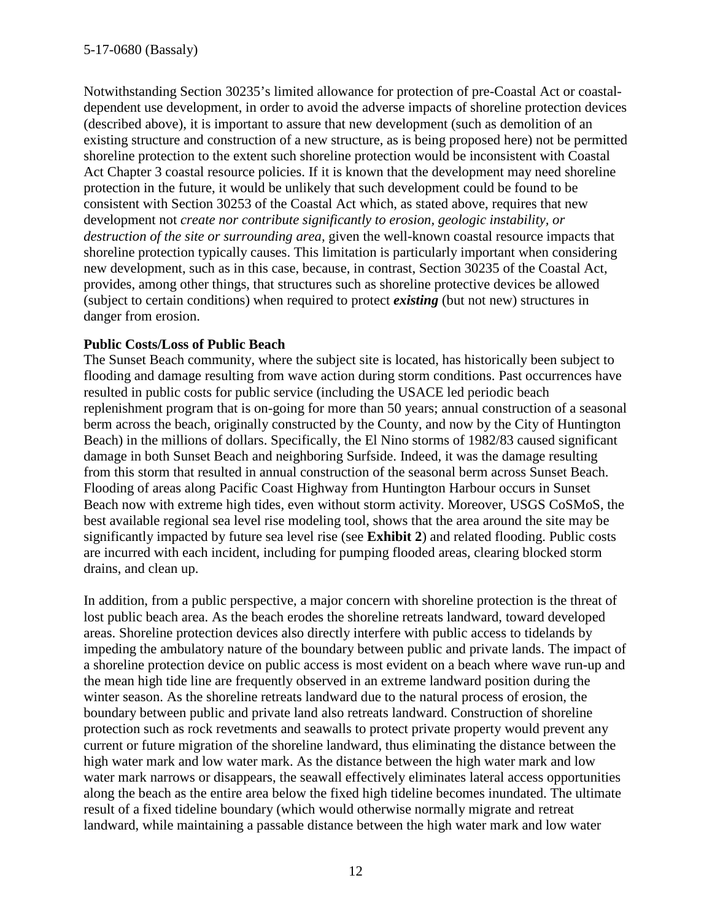Notwithstanding Section 30235's limited allowance for protection of pre-Coastal Act or coastaldependent use development, in order to avoid the adverse impacts of shoreline protection devices (described above), it is important to assure that new development (such as demolition of an existing structure and construction of a new structure, as is being proposed here) not be permitted shoreline protection to the extent such shoreline protection would be inconsistent with Coastal Act Chapter 3 coastal resource policies. If it is known that the development may need shoreline protection in the future, it would be unlikely that such development could be found to be consistent with Section 30253 of the Coastal Act which, as stated above, requires that new development not *create nor contribute significantly to erosion, geologic instability, or destruction of the site or surrounding area,* given the well-known coastal resource impacts that shoreline protection typically causes. This limitation is particularly important when considering new development, such as in this case, because, in contrast, Section 30235 of the Coastal Act, provides, among other things, that structures such as shoreline protective devices be allowed (subject to certain conditions) when required to protect *existing* (but not new) structures in danger from erosion.

## **Public Costs/Loss of Public Beach**

The Sunset Beach community, where the subject site is located, has historically been subject to flooding and damage resulting from wave action during storm conditions. Past occurrences have resulted in public costs for public service (including the USACE led periodic beach replenishment program that is on-going for more than 50 years; annual construction of a seasonal berm across the beach, originally constructed by the County, and now by the City of Huntington Beach) in the millions of dollars. Specifically, the El Nino storms of 1982/83 caused significant damage in both Sunset Beach and neighboring Surfside. Indeed, it was the damage resulting from this storm that resulted in annual construction of the seasonal berm across Sunset Beach. Flooding of areas along Pacific Coast Highway from Huntington Harbour occurs in Sunset Beach now with extreme high tides, even without storm activity. Moreover, USGS CoSMoS, the best available regional sea level rise modeling tool, shows that the area around the site may be significantly impacted by future sea level rise (see **Exhibit 2**) and related flooding. Public costs are incurred with each incident, including for pumping flooded areas, clearing blocked storm drains, and clean up.

In addition, from a public perspective, a major concern with shoreline protection is the threat of lost public beach area. As the beach erodes the shoreline retreats landward, toward developed areas. Shoreline protection devices also directly interfere with public access to tidelands by impeding the ambulatory nature of the boundary between public and private lands. The impact of a shoreline protection device on public access is most evident on a beach where wave run-up and the mean high tide line are frequently observed in an extreme landward position during the winter season. As the shoreline retreats landward due to the natural process of erosion, the boundary between public and private land also retreats landward. Construction of shoreline protection such as rock revetments and seawalls to protect private property would prevent any current or future migration of the shoreline landward, thus eliminating the distance between the high water mark and low water mark. As the distance between the high water mark and low water mark narrows or disappears, the seawall effectively eliminates lateral access opportunities along the beach as the entire area below the fixed high tideline becomes inundated. The ultimate result of a fixed tideline boundary (which would otherwise normally migrate and retreat landward, while maintaining a passable distance between the high water mark and low water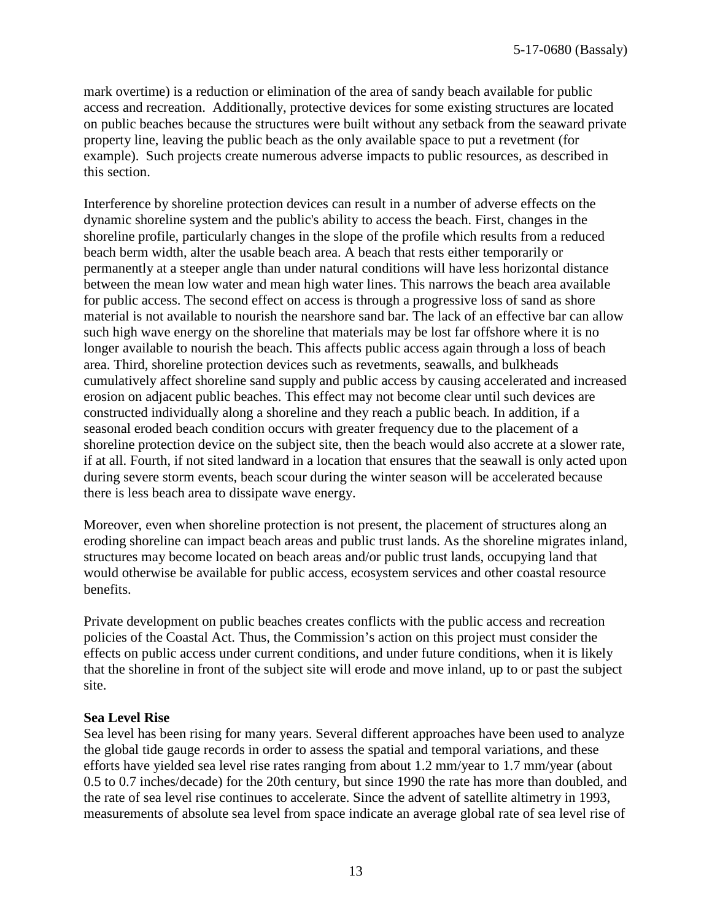mark overtime) is a reduction or elimination of the area of sandy beach available for public access and recreation. Additionally, protective devices for some existing structures are located on public beaches because the structures were built without any setback from the seaward private property line, leaving the public beach as the only available space to put a revetment (for example). Such projects create numerous adverse impacts to public resources, as described in this section.

Interference by shoreline protection devices can result in a number of adverse effects on the dynamic shoreline system and the public's ability to access the beach. First, changes in the shoreline profile, particularly changes in the slope of the profile which results from a reduced beach berm width, alter the usable beach area. A beach that rests either temporarily or permanently at a steeper angle than under natural conditions will have less horizontal distance between the mean low water and mean high water lines. This narrows the beach area available for public access. The second effect on access is through a progressive loss of sand as shore material is not available to nourish the nearshore sand bar. The lack of an effective bar can allow such high wave energy on the shoreline that materials may be lost far offshore where it is no longer available to nourish the beach. This affects public access again through a loss of beach area. Third, shoreline protection devices such as revetments, seawalls, and bulkheads cumulatively affect shoreline sand supply and public access by causing accelerated and increased erosion on adjacent public beaches. This effect may not become clear until such devices are constructed individually along a shoreline and they reach a public beach. In addition, if a seasonal eroded beach condition occurs with greater frequency due to the placement of a shoreline protection device on the subject site, then the beach would also accrete at a slower rate, if at all. Fourth, if not sited landward in a location that ensures that the seawall is only acted upon during severe storm events, beach scour during the winter season will be accelerated because there is less beach area to dissipate wave energy.

Moreover, even when shoreline protection is not present, the placement of structures along an eroding shoreline can impact beach areas and public trust lands. As the shoreline migrates inland, structures may become located on beach areas and/or public trust lands, occupying land that would otherwise be available for public access, ecosystem services and other coastal resource benefits.

Private development on public beaches creates conflicts with the public access and recreation policies of the Coastal Act. Thus, the Commission's action on this project must consider the effects on public access under current conditions, and under future conditions, when it is likely that the shoreline in front of the subject site will erode and move inland, up to or past the subject site.

#### **Sea Level Rise**

Sea level has been rising for many years. Several different approaches have been used to analyze the global tide gauge records in order to assess the spatial and temporal variations, and these efforts have yielded sea level rise rates ranging from about 1.2 mm/year to 1.7 mm/year (about 0.5 to 0.7 inches/decade) for the 20th century, but since 1990 the rate has more than doubled, and the rate of sea level rise continues to accelerate. Since the advent of satellite altimetry in 1993, measurements of absolute sea level from space indicate an average global rate of sea level rise of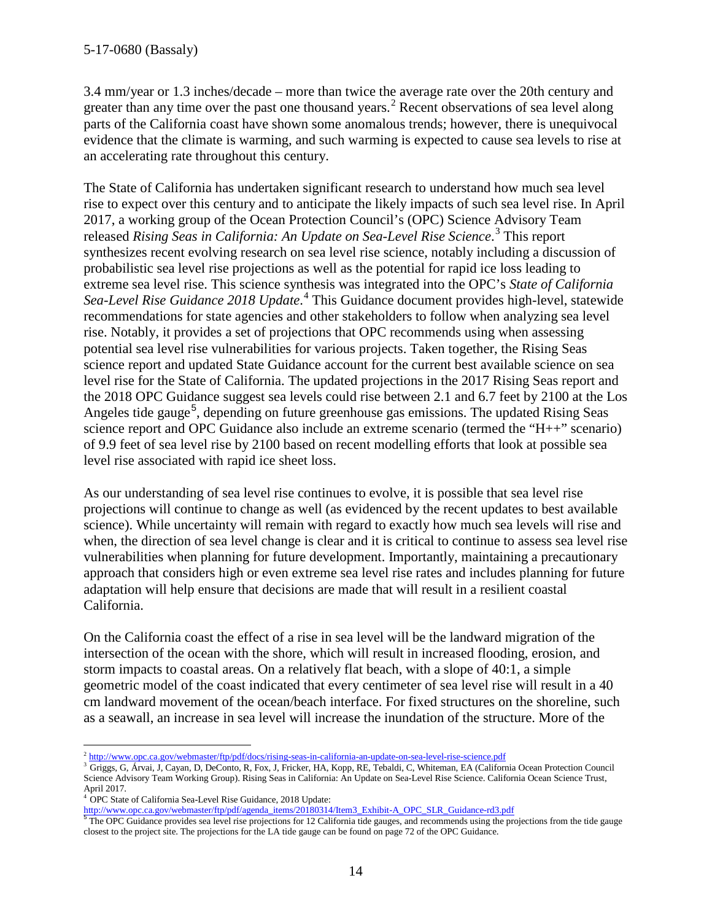3.4 mm/year or 1.3 inches/decade – more than twice the average rate over the 20th century and greater than any time over the past one thousand years.<sup>[2](#page-13-0)</sup> Recent observations of sea level along parts of the California coast have shown some anomalous trends; however, there is unequivocal evidence that the climate is warming, and such warming is expected to cause sea levels to rise at an accelerating rate throughout this century.

The State of California has undertaken significant research to understand how much sea level rise to expect over this century and to anticipate the likely impacts of such sea level rise. In April 2017, a working group of the Ocean Protection Council's (OPC) Science Advisory Team released *Rising Seas in California: An Update on Sea-Level Rise Science*. [3](#page-13-1) This report synthesizes recent evolving research on sea level rise science, notably including a discussion of probabilistic sea level rise projections as well as the potential for rapid ice loss leading to extreme sea level rise. This science synthesis was integrated into the OPC's *State of California Sea-Level Rise Guidance 2018 Update*. [4](#page-13-2) This Guidance document provides high-level, statewide recommendations for state agencies and other stakeholders to follow when analyzing sea level rise. Notably, it provides a set of projections that OPC recommends using when assessing potential sea level rise vulnerabilities for various projects. Taken together, the Rising Seas science report and updated State Guidance account for the current best available science on sea level rise for the State of California. The updated projections in the 2017 Rising Seas report and the 2018 OPC Guidance suggest sea levels could rise between 2.1 and 6.7 feet by 2100 at the Los Angeles tide gauge<sup>[5](#page-13-3)</sup>, depending on future greenhouse gas emissions. The updated Rising Seas science report and OPC Guidance also include an extreme scenario (termed the "H++" scenario) of 9.9 feet of sea level rise by 2100 based on recent modelling efforts that look at possible sea level rise associated with rapid ice sheet loss.

As our understanding of sea level rise continues to evolve, it is possible that sea level rise projections will continue to change as well (as evidenced by the recent updates to best available science). While uncertainty will remain with regard to exactly how much sea levels will rise and when, the direction of sea level change is clear and it is critical to continue to assess sea level rise vulnerabilities when planning for future development. Importantly, maintaining a precautionary approach that considers high or even extreme sea level rise rates and includes planning for future adaptation will help ensure that decisions are made that will result in a resilient coastal California.

On the California coast the effect of a rise in sea level will be the landward migration of the intersection of the ocean with the shore, which will result in increased flooding, erosion, and storm impacts to coastal areas. On a relatively flat beach, with a slope of 40:1, a simple geometric model of the coast indicated that every centimeter of sea level rise will result in a 40 cm landward movement of the ocean/beach interface. For fixed structures on the shoreline, such as a seawall, an increase in sea level will increase the inundation of the structure. More of the

 $\overline{a}$ <sup>2</sup> <http://www.opc.ca.gov/webmaster/ftp/pdf/docs/rising-seas-in-california-an-update-on-sea-level-rise-science.pdf>

<span id="page-13-1"></span><span id="page-13-0"></span><sup>&</sup>lt;sup>3</sup> Griggs, G, Árvai, J, Cayan, D, DeConto, R, Fox, J, Fricker, HA, Kopp, RE, Tebaldi, C, Whiteman, EA (California Ocean Protection Council Science Advisory Team Working Group). Rising Seas in California: An Update on Sea-Level Rise Science. California Ocean Science Trust, April 2017.

<sup>4</sup> OPC State of California Sea-Level Rise Guidance, 2018 Update:

<span id="page-13-3"></span><span id="page-13-2"></span>http://www.opc.ca.gov/webmaster/ftp/pdf/agenda\_items/20180314/Item3\_Exhibit-A\_OPC\_SLR\_Guidance-rd3.pdf<br><sup>5</sup>The OPC Guidance provides sea level rise projections for 12 California tide gauges, and recommends using the project closest to the project site. The projections for the LA tide gauge can be found on page 72 of the OPC Guidance.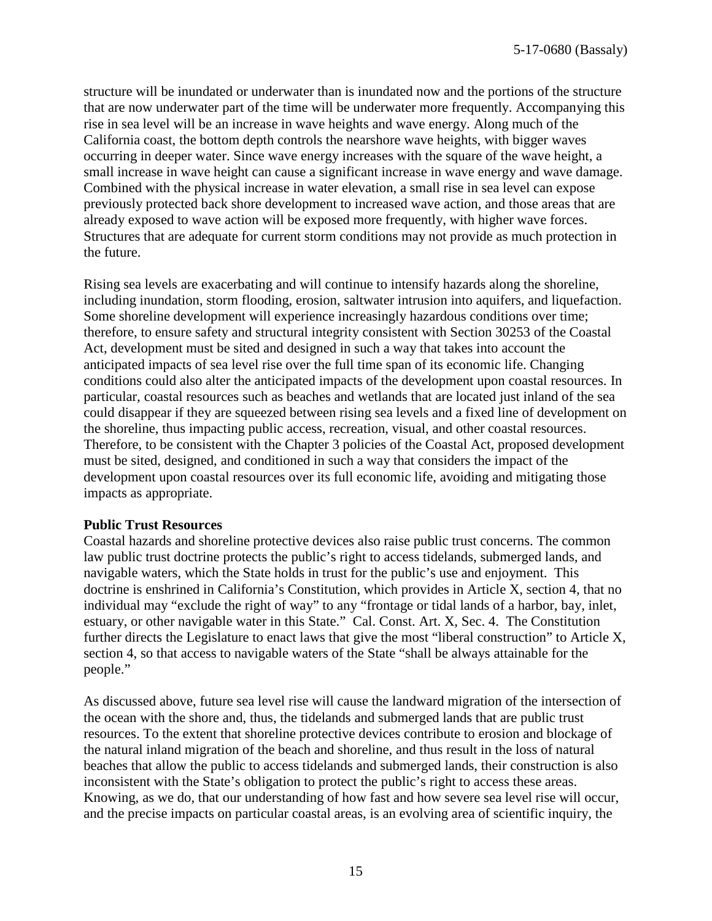structure will be inundated or underwater than is inundated now and the portions of the structure that are now underwater part of the time will be underwater more frequently. Accompanying this rise in sea level will be an increase in wave heights and wave energy. Along much of the California coast, the bottom depth controls the nearshore wave heights, with bigger waves occurring in deeper water. Since wave energy increases with the square of the wave height, a small increase in wave height can cause a significant increase in wave energy and wave damage. Combined with the physical increase in water elevation, a small rise in sea level can expose previously protected back shore development to increased wave action, and those areas that are already exposed to wave action will be exposed more frequently, with higher wave forces. Structures that are adequate for current storm conditions may not provide as much protection in the future.

Rising sea levels are exacerbating and will continue to intensify hazards along the shoreline, including inundation, storm flooding, erosion, saltwater intrusion into aquifers, and liquefaction. Some shoreline development will experience increasingly hazardous conditions over time; therefore, to ensure safety and structural integrity consistent with Section 30253 of the Coastal Act, development must be sited and designed in such a way that takes into account the anticipated impacts of sea level rise over the full time span of its economic life. Changing conditions could also alter the anticipated impacts of the development upon coastal resources. In particular, coastal resources such as beaches and wetlands that are located just inland of the sea could disappear if they are squeezed between rising sea levels and a fixed line of development on the shoreline, thus impacting public access, recreation, visual, and other coastal resources. Therefore, to be consistent with the Chapter 3 policies of the Coastal Act, proposed development must be sited, designed, and conditioned in such a way that considers the impact of the development upon coastal resources over its full economic life, avoiding and mitigating those impacts as appropriate.

#### **Public Trust Resources**

Coastal hazards and shoreline protective devices also raise public trust concerns. The common law public trust doctrine protects the public's right to access tidelands, submerged lands, and navigable waters, which the State holds in trust for the public's use and enjoyment. This doctrine is enshrined in California's Constitution, which provides in Article X, section 4, that no individual may "exclude the right of way" to any "frontage or tidal lands of a harbor, bay, inlet, estuary, or other navigable water in this State." Cal. Const. Art. X, Sec. 4. The Constitution further directs the Legislature to enact laws that give the most "liberal construction" to Article X, section 4, so that access to navigable waters of the State "shall be always attainable for the people."

As discussed above, future sea level rise will cause the landward migration of the intersection of the ocean with the shore and, thus, the tidelands and submerged lands that are public trust resources. To the extent that shoreline protective devices contribute to erosion and blockage of the natural inland migration of the beach and shoreline, and thus result in the loss of natural beaches that allow the public to access tidelands and submerged lands, their construction is also inconsistent with the State's obligation to protect the public's right to access these areas. Knowing, as we do, that our understanding of how fast and how severe sea level rise will occur, and the precise impacts on particular coastal areas, is an evolving area of scientific inquiry, the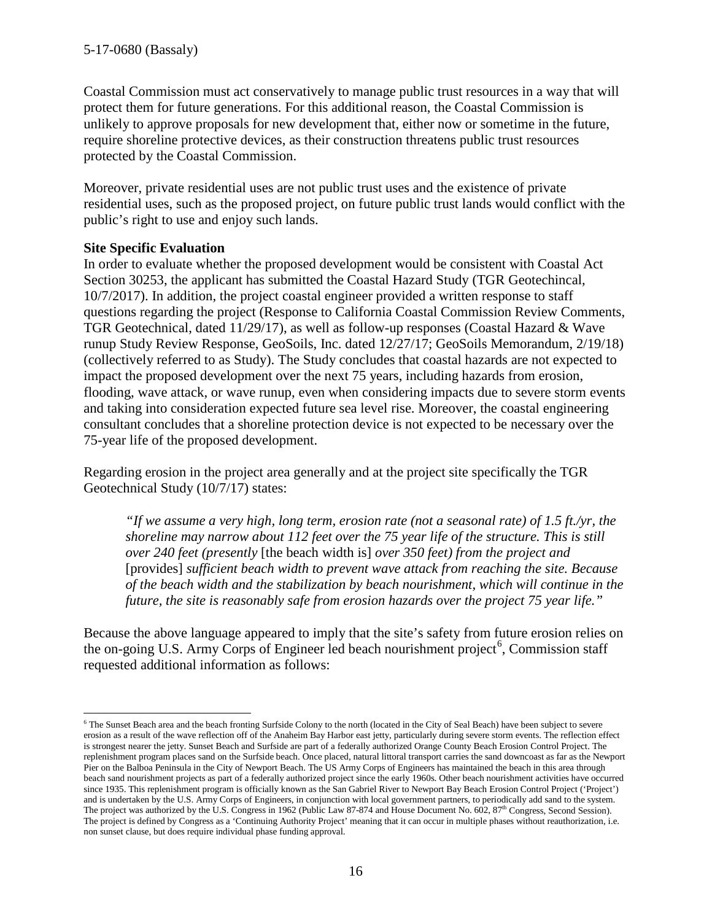Coastal Commission must act conservatively to manage public trust resources in a way that will protect them for future generations. For this additional reason, the Coastal Commission is unlikely to approve proposals for new development that, either now or sometime in the future, require shoreline protective devices, as their construction threatens public trust resources protected by the Coastal Commission.

Moreover, private residential uses are not public trust uses and the existence of private residential uses, such as the proposed project, on future public trust lands would conflict with the public's right to use and enjoy such lands.

#### **Site Specific Evaluation**

 $\overline{a}$ 

In order to evaluate whether the proposed development would be consistent with Coastal Act Section 30253, the applicant has submitted the Coastal Hazard Study (TGR Geotechincal, 10/7/2017). In addition, the project coastal engineer provided a written response to staff questions regarding the project (Response to California Coastal Commission Review Comments, TGR Geotechnical, dated  $11/29/17$ ), as well as follow-up responses (Coastal Hazard & Wave runup Study Review Response, GeoSoils, Inc. dated 12/27/17; GeoSoils Memorandum, 2/19/18) (collectively referred to as Study). The Study concludes that coastal hazards are not expected to impact the proposed development over the next 75 years, including hazards from erosion, flooding, wave attack, or wave runup, even when considering impacts due to severe storm events and taking into consideration expected future sea level rise. Moreover, the coastal engineering consultant concludes that a shoreline protection device is not expected to be necessary over the 75-year life of the proposed development.

Regarding erosion in the project area generally and at the project site specifically the TGR Geotechnical Study (10/7/17) states:

*"If we assume a very high, long term, erosion rate (not a seasonal rate) of 1.5 ft./yr, the shoreline may narrow about 112 feet over the 75 year life of the structure. This is still over 240 feet (presently* [the beach width is] *over 350 feet) from the project and*  [provides] *sufficient beach width to prevent wave attack from reaching the site. Because of the beach width and the stabilization by beach nourishment, which will continue in the future, the site is reasonably safe from erosion hazards over the project 75 year life."* 

Because the above language appeared to imply that the site's safety from future erosion relies on the on-going U.S. Army Corps of Engineer led beach nourishment project<sup>[6](#page-15-0)</sup>, Commission staff requested additional information as follows:

<span id="page-15-0"></span><sup>&</sup>lt;sup>6</sup> The Sunset Beach area and the beach fronting Surfside Colony to the north (located in the City of Seal Beach) have been subject to severe erosion as a result of the wave reflection off of the Anaheim Bay Harbor east jetty, particularly during severe storm events. The reflection effect is strongest nearer the jetty. Sunset Beach and Surfside are part of a federally authorized Orange County Beach Erosion Control Project. The replenishment program places sand on the Surfside beach. Once placed, natural littoral transport carries the sand downcoast as far as the Newport Pier on the Balboa Peninsula in the City of Newport Beach. The US Army Corps of Engineers has maintained the beach in this area through beach sand nourishment projects as part of a federally authorized project since the early 1960s. Other beach nourishment activities have occurred since 1935. This replenishment program is officially known as the San Gabriel River to Newport Bay Beach Erosion Control Project ('Project') and is undertaken by the U.S. Army Corps of Engineers, in conjunction with local government partners, to periodically add sand to the system. The project was authorized by the U.S. Congress in 1962 (Public Law 87-874 and House Document No. 602,  $87<sup>th</sup>$  Congress, Second Session). The project is defined by Congress as a 'Continuing Authority Project' meaning that it can occur in multiple phases without reauthorization, i.e. non sunset clause, but does require individual phase funding approval.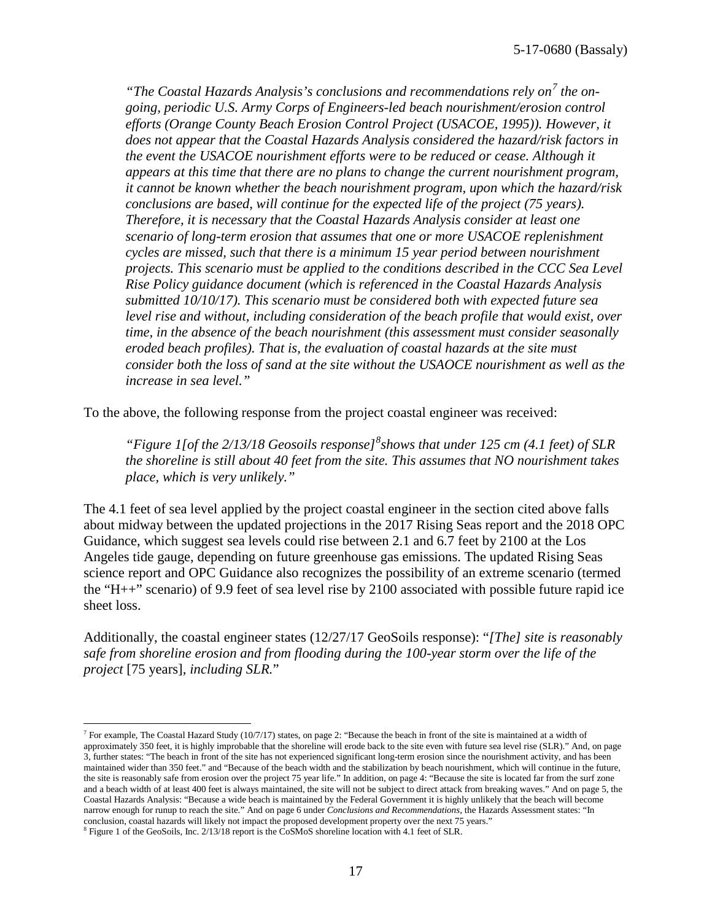*"The Coastal Hazards Analysis's conclusions and recommendations rely on[7](#page-16-0) the ongoing, periodic U.S. Army Corps of Engineers-led beach nourishment/erosion control efforts (Orange County Beach Erosion Control Project (USACOE, 1995)). However, it does not appear that the Coastal Hazards Analysis considered the hazard/risk factors in the event the USACOE nourishment efforts were to be reduced or cease. Although it appears at this time that there are no plans to change the current nourishment program, it cannot be known whether the beach nourishment program, upon which the hazard/risk conclusions are based, will continue for the expected life of the project (75 years). Therefore, it is necessary that the Coastal Hazards Analysis consider at least one scenario of long-term erosion that assumes that one or more USACOE replenishment cycles are missed, such that there is a minimum 15 year period between nourishment projects. This scenario must be applied to the conditions described in the CCC Sea Level Rise Policy guidance document (which is referenced in the Coastal Hazards Analysis submitted 10/10/17). This scenario must be considered both with expected future sea level rise and without, including consideration of the beach profile that would exist, over time, in the absence of the beach nourishment (this assessment must consider seasonally eroded beach profiles). That is, the evaluation of coastal hazards at the site must consider both the loss of sand at the site without the USAOCE nourishment as well as the increase in sea level."* 

To the above, the following response from the project coastal engineer was received:

*"Figure 1[of the 2/13/18 Geosoils response][8](#page-16-1) shows that under 125 cm (4.1 feet) of SLR the shoreline is still about 40 feet from the site. This assumes that NO nourishment takes place, which is very unlikely."* 

The 4.1 feet of sea level applied by the project coastal engineer in the section cited above falls about midway between the updated projections in the 2017 Rising Seas report and the 2018 OPC Guidance, which suggest sea levels could rise between 2.1 and 6.7 feet by 2100 at the Los Angeles tide gauge, depending on future greenhouse gas emissions. The updated Rising Seas science report and OPC Guidance also recognizes the possibility of an extreme scenario (termed the "H++" scenario) of 9.9 feet of sea level rise by 2100 associated with possible future rapid ice sheet loss.

Additionally, the coastal engineer states (12/27/17 GeoSoils response): "*[The] site is reasonably safe from shoreline erosion and from flooding during the 100-year storm over the life of the project* [75 years]*, including SLR.*"

 $\overline{a}$ 

<span id="page-16-0"></span> $^7$  For example, The Coastal Hazard Study (10/7/17) states, on page 2: "Because the beach in front of the site is maintained at a width of approximately 350 feet, it is highly improbable that the shoreline will erode back to the site even with future sea level rise (SLR)." And, on page 3, further states: "The beach in front of the site has not experienced significant long-term erosion since the nourishment activity, and has been maintained wider than 350 feet." and "Because of the beach width and the stabilization by beach nourishment, which will continue in the future, the site is reasonably safe from erosion over the project 75 year life." In addition, on page 4: "Because the site is located far from the surf zone and a beach width of at least 400 feet is always maintained, the site will not be subject to direct attack from breaking waves." And on page 5, the Coastal Hazards Analysis: "Because a wide beach is maintained by the Federal Government it is highly unlikely that the beach will become narrow enough for runup to reach the site." And on page 6 under *Conclusions and Recommendations*, the Hazards Assessment states: "In conclusion, coastal hazards will likely not impact the proposed development property over the next 75 years."

<span id="page-16-1"></span><sup>8</sup> Figure 1 of the GeoSoils, Inc. 2/13/18 report is the CoSMoS shoreline location with 4.1 feet of SLR.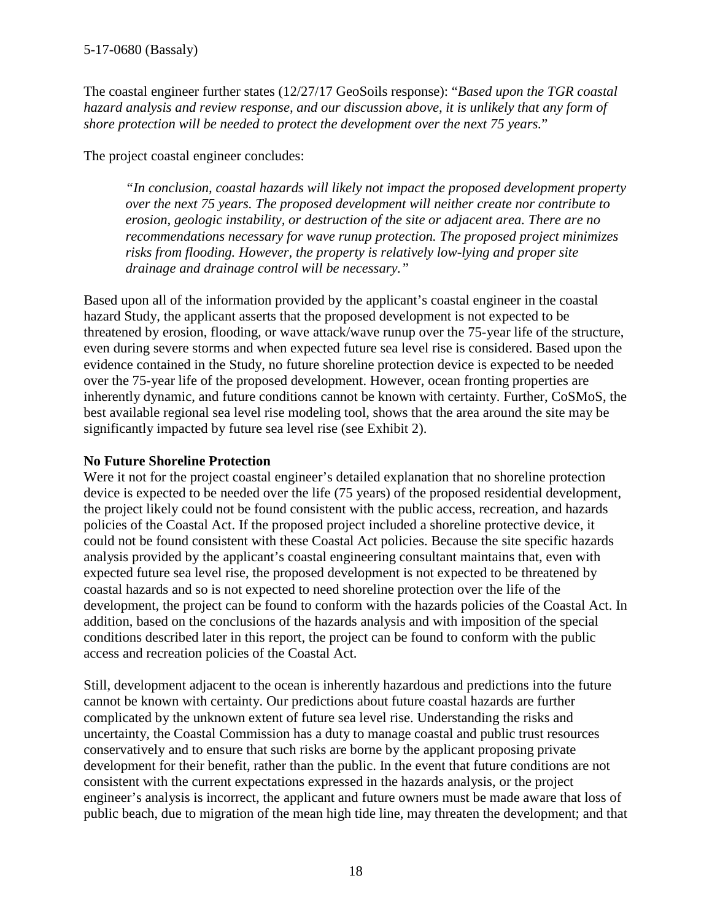The coastal engineer further states (12/27/17 GeoSoils response): "*Based upon the TGR coastal hazard analysis and review response, and our discussion above, it is unlikely that any form of shore protection will be needed to protect the development over the next 75 years.*"

The project coastal engineer concludes:

*"In conclusion, coastal hazards will likely not impact the proposed development property over the next 75 years. The proposed development will neither create nor contribute to erosion, geologic instability, or destruction of the site or adjacent area. There are no recommendations necessary for wave runup protection. The proposed project minimizes risks from flooding. However, the property is relatively low-lying and proper site drainage and drainage control will be necessary."*

Based upon all of the information provided by the applicant's coastal engineer in the coastal hazard Study, the applicant asserts that the proposed development is not expected to be threatened by erosion, flooding, or wave attack/wave runup over the 75-year life of the structure, even during severe storms and when expected future sea level rise is considered. Based upon the evidence contained in the Study, no future shoreline protection device is expected to be needed over the 75-year life of the proposed development. However, ocean fronting properties are inherently dynamic, and future conditions cannot be known with certainty. Further, CoSMoS, the best available regional sea level rise modeling tool, shows that the area around the site may be significantly impacted by future sea level rise (see Exhibit 2).

## **No Future Shoreline Protection**

Were it not for the project coastal engineer's detailed explanation that no shoreline protection device is expected to be needed over the life (75 years) of the proposed residential development, the project likely could not be found consistent with the public access, recreation, and hazards policies of the Coastal Act. If the proposed project included a shoreline protective device, it could not be found consistent with these Coastal Act policies. Because the site specific hazards analysis provided by the applicant's coastal engineering consultant maintains that, even with expected future sea level rise, the proposed development is not expected to be threatened by coastal hazards and so is not expected to need shoreline protection over the life of the development, the project can be found to conform with the hazards policies of the Coastal Act. In addition, based on the conclusions of the hazards analysis and with imposition of the special conditions described later in this report, the project can be found to conform with the public access and recreation policies of the Coastal Act.

Still, development adjacent to the ocean is inherently hazardous and predictions into the future cannot be known with certainty. Our predictions about future coastal hazards are further complicated by the unknown extent of future sea level rise. Understanding the risks and uncertainty, the Coastal Commission has a duty to manage coastal and public trust resources conservatively and to ensure that such risks are borne by the applicant proposing private development for their benefit, rather than the public. In the event that future conditions are not consistent with the current expectations expressed in the hazards analysis, or the project engineer's analysis is incorrect, the applicant and future owners must be made aware that loss of public beach, due to migration of the mean high tide line, may threaten the development; and that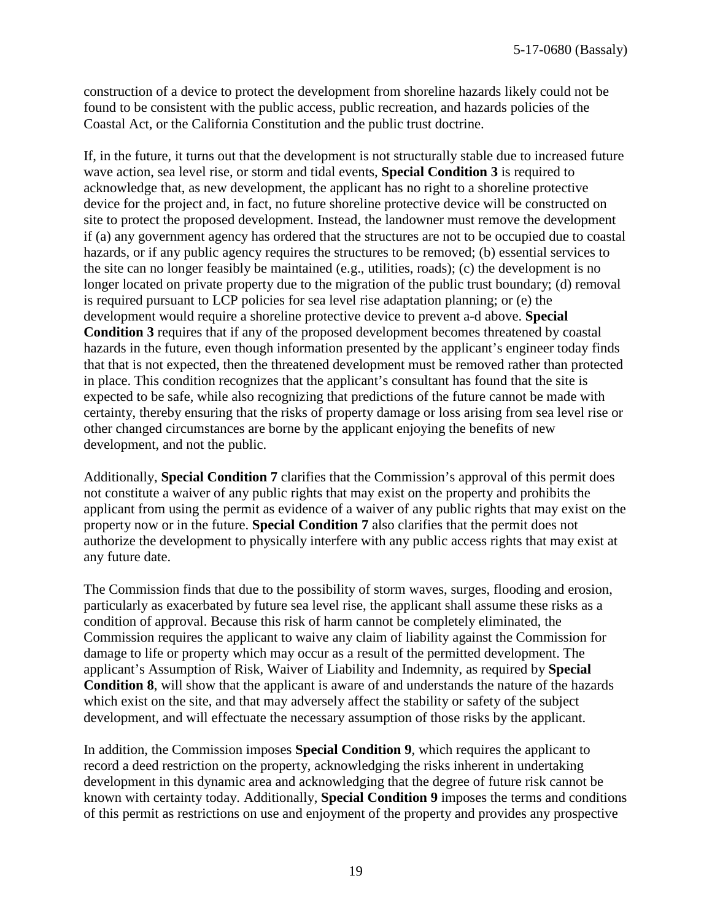construction of a device to protect the development from shoreline hazards likely could not be found to be consistent with the public access, public recreation, and hazards policies of the Coastal Act, or the California Constitution and the public trust doctrine.

If, in the future, it turns out that the development is not structurally stable due to increased future wave action, sea level rise, or storm and tidal events, **Special Condition 3** is required to acknowledge that, as new development, the applicant has no right to a shoreline protective device for the project and, in fact, no future shoreline protective device will be constructed on site to protect the proposed development. Instead, the landowner must remove the development if (a) any government agency has ordered that the structures are not to be occupied due to coastal hazards, or if any public agency requires the structures to be removed; (b) essential services to the site can no longer feasibly be maintained (e.g., utilities, roads); (c) the development is no longer located on private property due to the migration of the public trust boundary; (d) removal is required pursuant to LCP policies for sea level rise adaptation planning; or (e) the development would require a shoreline protective device to prevent a-d above. **Special Condition 3** requires that if any of the proposed development becomes threatened by coastal hazards in the future, even though information presented by the applicant's engineer today finds that that is not expected, then the threatened development must be removed rather than protected in place. This condition recognizes that the applicant's consultant has found that the site is expected to be safe, while also recognizing that predictions of the future cannot be made with certainty, thereby ensuring that the risks of property damage or loss arising from sea level rise or other changed circumstances are borne by the applicant enjoying the benefits of new development, and not the public.

Additionally, **Special Condition 7** clarifies that the Commission's approval of this permit does not constitute a waiver of any public rights that may exist on the property and prohibits the applicant from using the permit as evidence of a waiver of any public rights that may exist on the property now or in the future. **Special Condition 7** also clarifies that the permit does not authorize the development to physically interfere with any public access rights that may exist at any future date.

The Commission finds that due to the possibility of storm waves, surges, flooding and erosion, particularly as exacerbated by future sea level rise, the applicant shall assume these risks as a condition of approval. Because this risk of harm cannot be completely eliminated, the Commission requires the applicant to waive any claim of liability against the Commission for damage to life or property which may occur as a result of the permitted development. The applicant's Assumption of Risk, Waiver of Liability and Indemnity, as required by **Special Condition 8**, will show that the applicant is aware of and understands the nature of the hazards which exist on the site, and that may adversely affect the stability or safety of the subject development, and will effectuate the necessary assumption of those risks by the applicant.

In addition, the Commission imposes **Special Condition 9**, which requires the applicant to record a deed restriction on the property, acknowledging the risks inherent in undertaking development in this dynamic area and acknowledging that the degree of future risk cannot be known with certainty today. Additionally, **Special Condition 9** imposes the terms and conditions of this permit as restrictions on use and enjoyment of the property and provides any prospective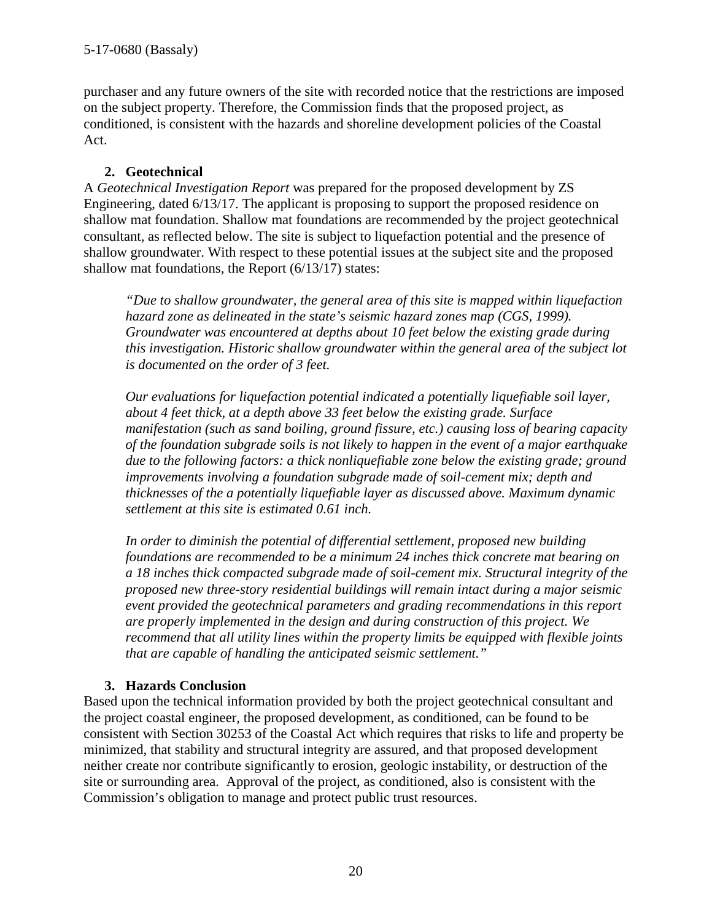purchaser and any future owners of the site with recorded notice that the restrictions are imposed on the subject property. Therefore, the Commission finds that the proposed project, as conditioned, is consistent with the hazards and shoreline development policies of the Coastal Act.

## **2. Geotechnical**

A *Geotechnical Investigation Report* was prepared for the proposed development by ZS Engineering, dated 6/13/17. The applicant is proposing to support the proposed residence on shallow mat foundation. Shallow mat foundations are recommended by the project geotechnical consultant, as reflected below. The site is subject to liquefaction potential and the presence of shallow groundwater. With respect to these potential issues at the subject site and the proposed shallow mat foundations, the Report (6/13/17) states:

*"Due to shallow groundwater, the general area of this site is mapped within liquefaction hazard zone as delineated in the state's seismic hazard zones map (CGS, 1999). Groundwater was encountered at depths about 10 feet below the existing grade during this investigation. Historic shallow groundwater within the general area of the subject lot is documented on the order of 3 feet.* 

*Our evaluations for liquefaction potential indicated a potentially liquefiable soil layer, about 4 feet thick, at a depth above 33 feet below the existing grade. Surface manifestation (such as sand boiling, ground fissure, etc.) causing loss of bearing capacity of the foundation subgrade soils is not likely to happen in the event of a major earthquake*  due to the following factors: a thick nonliquefiable zone below the existing grade; ground *improvements involving a foundation subgrade made of soil-cement mix; depth and thicknesses of the a potentially liquefiable layer as discussed above. Maximum dynamic settlement at this site is estimated 0.61 inch.* 

*In order to diminish the potential of differential settlement, proposed new building foundations are recommended to be a minimum 24 inches thick concrete mat bearing on a 18 inches thick compacted subgrade made of soil-cement mix. Structural integrity of the proposed new three-story residential buildings will remain intact during a major seismic event provided the geotechnical parameters and grading recommendations in this report are properly implemented in the design and during construction of this project. We recommend that all utility lines within the property limits be equipped with flexible joints that are capable of handling the anticipated seismic settlement."*

## **3. Hazards Conclusion**

Based upon the technical information provided by both the project geotechnical consultant and the project coastal engineer, the proposed development, as conditioned, can be found to be consistent with Section 30253 of the Coastal Act which requires that risks to life and property be minimized, that stability and structural integrity are assured, and that proposed development neither create nor contribute significantly to erosion, geologic instability, or destruction of the site or surrounding area. Approval of the project, as conditioned, also is consistent with the Commission's obligation to manage and protect public trust resources.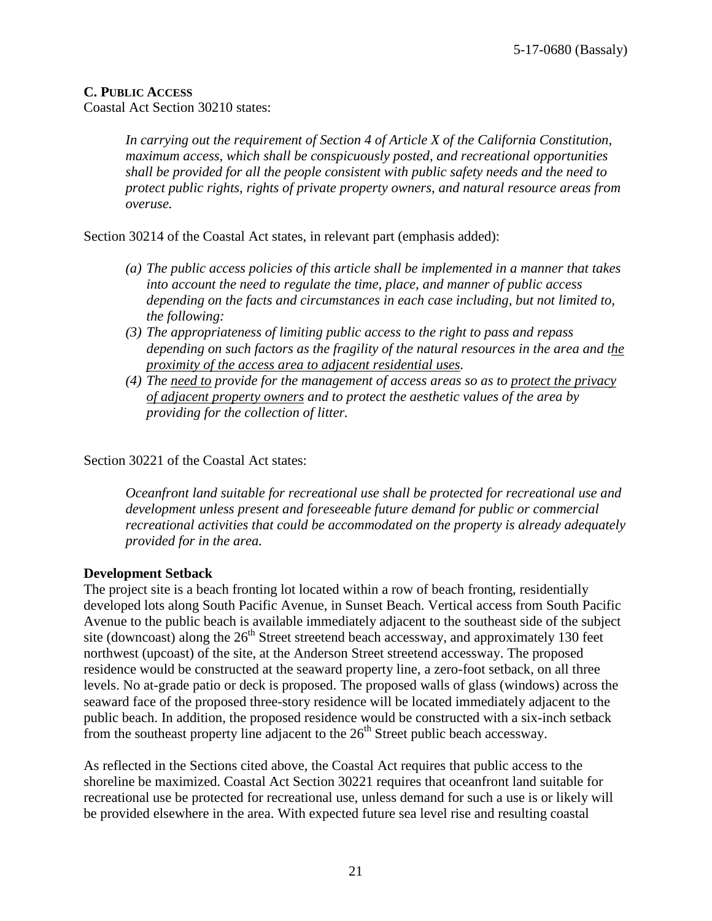#### **C. PUBLIC ACCESS**

Coastal Act Section 30210 states:

*In carrying out the requirement of Section 4 of Article X of the California Constitution, maximum access, which shall be conspicuously posted, and recreational opportunities shall be provided for all the people consistent with public safety needs and the need to protect public rights, rights of private property owners, and natural resource areas from overuse.*

Section 30214 of the Coastal Act states, in relevant part (emphasis added):

- *(a) The public access policies of this article shall be implemented in a manner that takes into account the need to regulate the time, place, and manner of public access depending on the facts and circumstances in each case including, but not limited to, the following:*
- *(3) The appropriateness of limiting public access to the right to pass and repass depending on such factors as the fragility of the natural resources in the area and the proximity of the access area to adjacent residential uses.*
- *(4) The need to provide for the management of access areas so as to protect the privacy of adjacent property owners and to protect the aesthetic values of the area by providing for the collection of litter.*

Section 30221 of the Coastal Act states:

*Oceanfront land suitable for recreational use shall be protected for recreational use and development unless present and foreseeable future demand for public or commercial recreational activities that could be accommodated on the property is already adequately provided for in the area.* 

#### **Development Setback**

The project site is a beach fronting lot located within a row of beach fronting, residentially developed lots along South Pacific Avenue, in Sunset Beach. Vertical access from South Pacific Avenue to the public beach is available immediately adjacent to the southeast side of the subject site (downcoast) along the  $26<sup>th</sup>$  Street streetend beach accessway, and approximately 130 feet northwest (upcoast) of the site, at the Anderson Street streetend accessway. The proposed residence would be constructed at the seaward property line, a zero-foot setback, on all three levels. No at-grade patio or deck is proposed. The proposed walls of glass (windows) across the seaward face of the proposed three-story residence will be located immediately adjacent to the public beach. In addition, the proposed residence would be constructed with a six-inch setback from the southeast property line adjacent to the  $26<sup>th</sup>$  Street public beach accessway.

As reflected in the Sections cited above, the Coastal Act requires that public access to the shoreline be maximized. Coastal Act Section 30221 requires that oceanfront land suitable for recreational use be protected for recreational use, unless demand for such a use is or likely will be provided elsewhere in the area. With expected future sea level rise and resulting coastal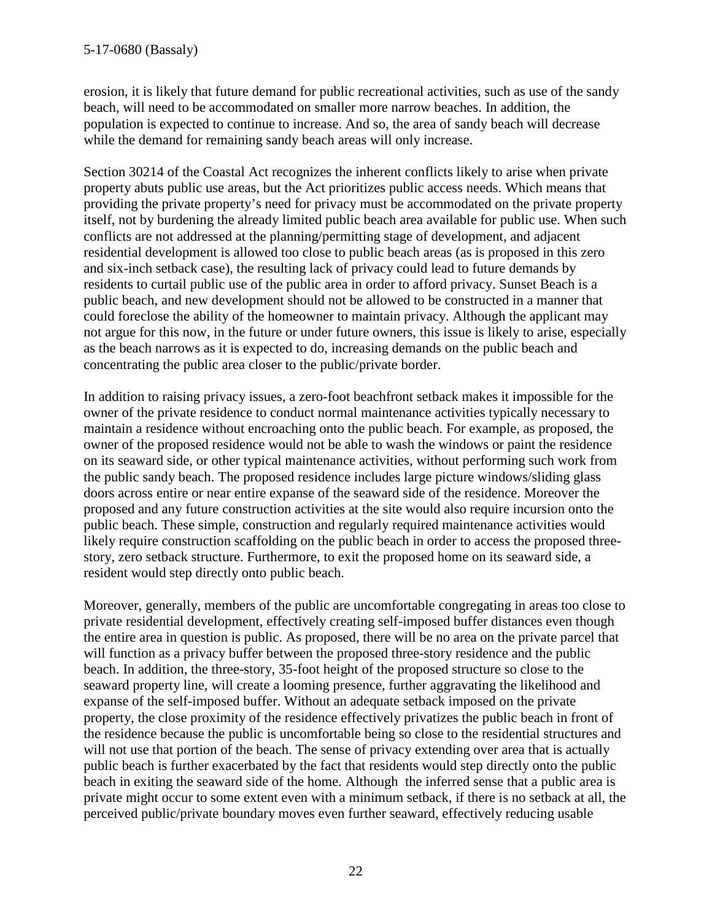erosion, it is likely that future demand for public recreational activities, such as use of the sandy beach, will need to be accommodated on smaller more narrow beaches. In addition, the population is expected to continue to increase. And so, the area of sandy beach will decrease while the demand for remaining sandy beach areas will only increase.

Section 30214 of the Coastal Act recognizes the inherent conflicts likely to arise when private property abuts public use areas, but the Act prioritizes public access needs. Which means that providing the private property's need for privacy must be accommodated on the private property itself, not by burdening the already limited public beach area available for public use. When such conflicts are not addressed at the planning/permitting stage of development, and adjacent residential development is allowed too close to public beach areas (as is proposed in this zero and six-inch setback case), the resulting lack of privacy could lead to future demands by residents to curtail public use of the public area in order to afford privacy. Sunset Beach is a public beach, and new development should not be allowed to be constructed in a manner that could foreclose the ability of the homeowner to maintain privacy. Although the applicant may not argue for this now, in the future or under future owners, this issue is likely to arise, especially as the beach narrows as it is expected to do, increasing demands on the public beach and concentrating the public area closer to the public/private border.

In addition to raising privacy issues, a zero-foot beachfront setback makes it impossible for the owner of the private residence to conduct normal maintenance activities typically necessary to maintain a residence without encroaching onto the public beach. For example, as proposed, the owner of the proposed residence would not be able to wash the windows or paint the residence on its seaward side, or other typical maintenance activities, without performing such work from the public sandy beach. The proposed residence includes large picture windows/sliding glass doors across entire or near entire expanse of the seaward side of the residence. Moreover the proposed and any future construction activities at the site would also require incursion onto the public beach. These simple, construction and regularly required maintenance activities would likely require construction scaffolding on the public beach in order to access the proposed threestory, zero setback structure. Furthermore, to exit the proposed home on its seaward side, a resident would step directly onto public beach.

Moreover, generally, members of the public are uncomfortable congregating in areas too close to private residential development, effectively creating self-imposed buffer distances even though the entire area in question is public. As proposed, there will be no area on the private parcel that will function as a privacy buffer between the proposed three-story residence and the public beach. In addition, the three-story, 35-foot height of the proposed structure so close to the seaward property line, will create a looming presence, further aggravating the likelihood and expanse of the self-imposed buffer. Without an adequate setback imposed on the private property, the close proximity of the residence effectively privatizes the public beach in front of the residence because the public is uncomfortable being so close to the residential structures and will not use that portion of the beach. The sense of privacy extending over area that is actually public beach is further exacerbated by the fact that residents would step directly onto the public beach in exiting the seaward side of the home. Although the inferred sense that a public area is private might occur to some extent even with a minimum setback, if there is no setback at all, the perceived public/private boundary moves even further seaward, effectively reducing usable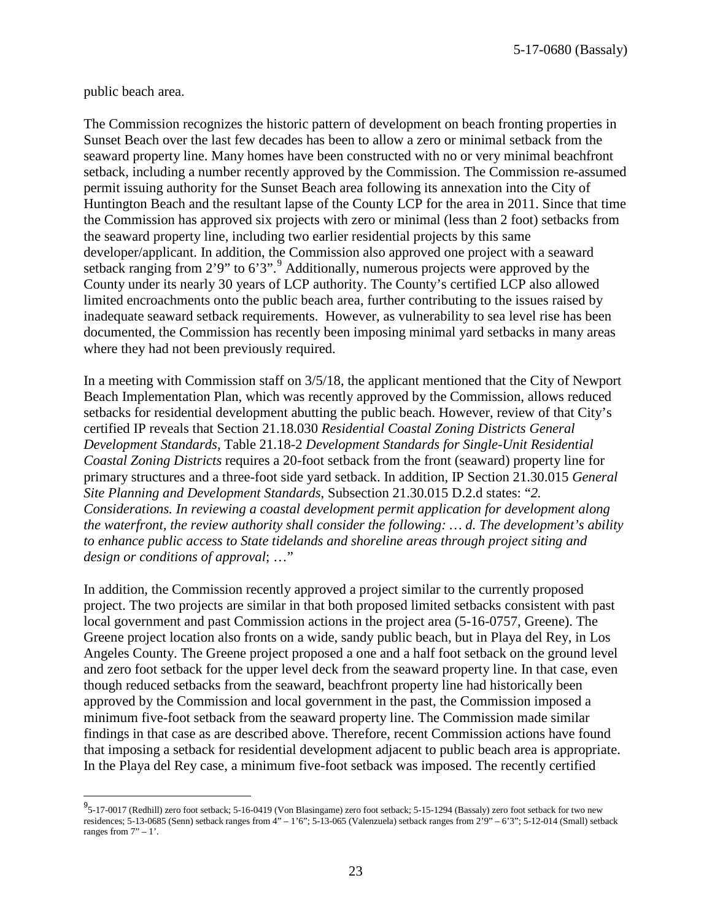5-17-0680 (Bassaly)

public beach area.

 $\overline{\phantom{a}}$ 

The Commission recognizes the historic pattern of development on beach fronting properties in Sunset Beach over the last few decades has been to allow a zero or minimal setback from the seaward property line. Many homes have been constructed with no or very minimal beachfront setback, including a number recently approved by the Commission. The Commission re-assumed permit issuing authority for the Sunset Beach area following its annexation into the City of Huntington Beach and the resultant lapse of the County LCP for the area in 2011. Since that time the Commission has approved six projects with zero or minimal (less than 2 foot) setbacks from the seaward property line, including two earlier residential projects by this same developer/applicant. In addition, the Commission also approved one project with a seaward setback ranging from  $2'9''$  $2'9''$  $2'9''$  to  $6'3''$ . Additionally, numerous projects were approved by the County under its nearly 30 years of LCP authority. The County's certified LCP also allowed limited encroachments onto the public beach area, further contributing to the issues raised by inadequate seaward setback requirements. However, as vulnerability to sea level rise has been documented, the Commission has recently been imposing minimal yard setbacks in many areas where they had not been previously required.

In a meeting with Commission staff on 3/5/18, the applicant mentioned that the City of Newport Beach Implementation Plan, which was recently approved by the Commission, allows reduced setbacks for residential development abutting the public beach. However, review of that City's certified IP reveals that Section 21.18.030 *Residential Coastal Zoning Districts General Development Standards*, Table 21.18-2 *Development Standards for Single-Unit Residential Coastal Zoning Districts* requires a 20-foot setback from the front (seaward) property line for primary structures and a three-foot side yard setback. In addition, IP Section 21.30.015 *General Site Planning and Development Standards*, Subsection 21.30.015 D.2.d states: "*2. Considerations. In reviewing a coastal development permit application for development along the waterfront, the review authority shall consider the following: … d. The development's ability to enhance public access to State tidelands and shoreline areas through project siting and design or conditions of approval*; …"

In addition, the Commission recently approved a project similar to the currently proposed project. The two projects are similar in that both proposed limited setbacks consistent with past local government and past Commission actions in the project area (5-16-0757, Greene). The Greene project location also fronts on a wide, sandy public beach, but in Playa del Rey, in Los Angeles County. The Greene project proposed a one and a half foot setback on the ground level and zero foot setback for the upper level deck from the seaward property line. In that case, even though reduced setbacks from the seaward, beachfront property line had historically been approved by the Commission and local government in the past, the Commission imposed a minimum five-foot setback from the seaward property line. The Commission made similar findings in that case as are described above. Therefore, recent Commission actions have found that imposing a setback for residential development adjacent to public beach area is appropriate. In the Playa del Rey case, a minimum five-foot setback was imposed. The recently certified

<span id="page-22-0"></span><sup>9&</sup>lt;br>5-17-0017 (Redhill) zero foot setback; 5-16-0419 (Von Blasingame) zero foot setback; 5-15-1294 (Bassaly) zero foot setback for two new residences; 5-13-0685 (Senn) setback ranges from 4" – 1'6"; 5-13-065 (Valenzuela) setback ranges from 2'9" – 6'3"; 5-12-014 (Small) setback ranges from  $7" - 1$ '.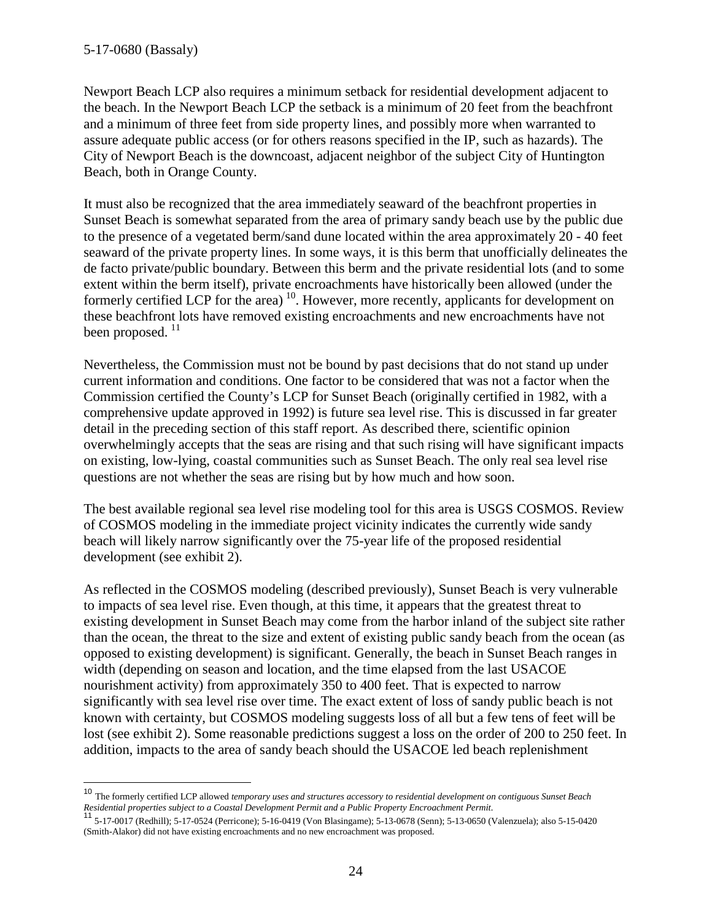Newport Beach LCP also requires a minimum setback for residential development adjacent to the beach. In the Newport Beach LCP the setback is a minimum of 20 feet from the beachfront and a minimum of three feet from side property lines, and possibly more when warranted to assure adequate public access (or for others reasons specified in the IP, such as hazards). The City of Newport Beach is the downcoast, adjacent neighbor of the subject City of Huntington Beach, both in Orange County.

It must also be recognized that the area immediately seaward of the beachfront properties in Sunset Beach is somewhat separated from the area of primary sandy beach use by the public due to the presence of a vegetated berm/sand dune located within the area approximately 20 - 40 feet seaward of the private property lines. In some ways, it is this berm that unofficially delineates the de facto private/public boundary. Between this berm and the private residential lots (and to some extent within the berm itself), private encroachments have historically been allowed (under the formerly certified LCP for the area)<sup>[10](#page-23-0)</sup>. However, more recently, applicants for development on these beachfront lots have removed existing encroachments and new encroachments have not been proposed.  $^{11}$  $^{11}$  $^{11}$ 

Nevertheless, the Commission must not be bound by past decisions that do not stand up under current information and conditions. One factor to be considered that was not a factor when the Commission certified the County's LCP for Sunset Beach (originally certified in 1982, with a comprehensive update approved in 1992) is future sea level rise. This is discussed in far greater detail in the preceding section of this staff report. As described there, scientific opinion overwhelmingly accepts that the seas are rising and that such rising will have significant impacts on existing, low-lying, coastal communities such as Sunset Beach. The only real sea level rise questions are not whether the seas are rising but by how much and how soon.

The best available regional sea level rise modeling tool for this area is USGS COSMOS. Review of COSMOS modeling in the immediate project vicinity indicates the currently wide sandy beach will likely narrow significantly over the 75-year life of the proposed residential development (see exhibit 2).

As reflected in the COSMOS modeling (described previously), Sunset Beach is very vulnerable to impacts of sea level rise. Even though, at this time, it appears that the greatest threat to existing development in Sunset Beach may come from the harbor inland of the subject site rather than the ocean, the threat to the size and extent of existing public sandy beach from the ocean (as opposed to existing development) is significant. Generally, the beach in Sunset Beach ranges in width (depending on season and location, and the time elapsed from the last USACOE nourishment activity) from approximately 350 to 400 feet. That is expected to narrow significantly with sea level rise over time. The exact extent of loss of sandy public beach is not known with certainty, but COSMOS modeling suggests loss of all but a few tens of feet will be lost (see exhibit 2). Some reasonable predictions suggest a loss on the order of 200 to 250 feet. In addition, impacts to the area of sandy beach should the USACOE led beach replenishment

<span id="page-23-0"></span><sup>10</sup> The formerly certified LCP allowed *temporary uses and structures accessory to residential development on contiguous Sunset Beach* 

<span id="page-23-1"></span>Residential properties subject to a Coastal Development Permit and a Public Property Encroachment Permit.<br><sup>11</sup> 5-17-0017 (Redhill); 5-17-0524 (Perricone); 5-16-0419 (Von Blasingame); 5-13-0678 (Senn); 5-13-0650 (Valenzuela (Smith-Alakor) did not have existing encroachments and no new encroachment was proposed.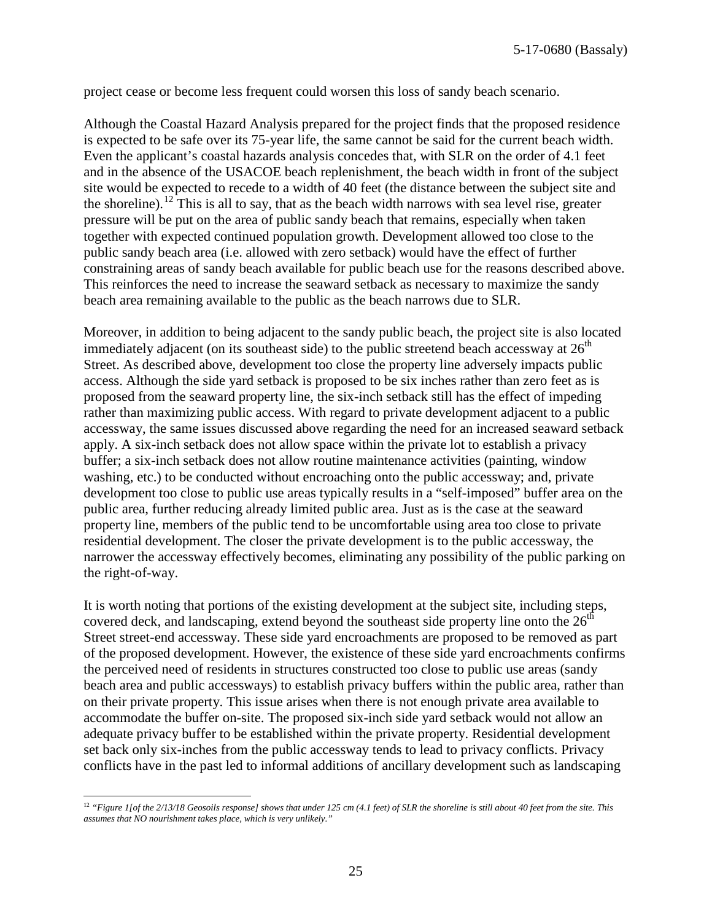project cease or become less frequent could worsen this loss of sandy beach scenario.

Although the Coastal Hazard Analysis prepared for the project finds that the proposed residence is expected to be safe over its 75-year life, the same cannot be said for the current beach width. Even the applicant's coastal hazards analysis concedes that, with SLR on the order of 4.1 feet and in the absence of the USACOE beach replenishment, the beach width in front of the subject site would be expected to recede to a width of 40 feet (the distance between the subject site and the shoreline).<sup>[12](#page-24-0)</sup> This is all to say, that as the beach width narrows with sea level rise, greater pressure will be put on the area of public sandy beach that remains, especially when taken together with expected continued population growth. Development allowed too close to the public sandy beach area (i.e. allowed with zero setback) would have the effect of further constraining areas of sandy beach available for public beach use for the reasons described above. This reinforces the need to increase the seaward setback as necessary to maximize the sandy beach area remaining available to the public as the beach narrows due to SLR.

Moreover, in addition to being adjacent to the sandy public beach, the project site is also located immediately adjacent (on its southeast side) to the public streetend beach accessway at  $26<sup>th</sup>$ Street. As described above, development too close the property line adversely impacts public access. Although the side yard setback is proposed to be six inches rather than zero feet as is proposed from the seaward property line, the six-inch setback still has the effect of impeding rather than maximizing public access. With regard to private development adjacent to a public accessway, the same issues discussed above regarding the need for an increased seaward setback apply. A six-inch setback does not allow space within the private lot to establish a privacy buffer; a six-inch setback does not allow routine maintenance activities (painting, window washing, etc.) to be conducted without encroaching onto the public accessway; and, private development too close to public use areas typically results in a "self-imposed" buffer area on the public area, further reducing already limited public area. Just as is the case at the seaward property line, members of the public tend to be uncomfortable using area too close to private residential development. The closer the private development is to the public accessway, the narrower the accessway effectively becomes, eliminating any possibility of the public parking on the right-of-way.

It is worth noting that portions of the existing development at the subject site, including steps, covered deck, and landscaping, extend beyond the southeast side property line onto the  $26<sup>th</sup>$ Street street-end accessway. These side yard encroachments are proposed to be removed as part of the proposed development. However, the existence of these side yard encroachments confirms the perceived need of residents in structures constructed too close to public use areas (sandy beach area and public accessways) to establish privacy buffers within the public area, rather than on their private property. This issue arises when there is not enough private area available to accommodate the buffer on-site. The proposed six-inch side yard setback would not allow an adequate privacy buffer to be established within the private property. Residential development set back only six-inches from the public accessway tends to lead to privacy conflicts. Privacy conflicts have in the past led to informal additions of ancillary development such as landscaping

<span id="page-24-0"></span> $\overline{a}$ <sup>12</sup> "Figure 1[of the 2/13/18 Geosoils response] shows that under 125 cm (4.1 feet) of SLR the shoreline is still about 40 feet from the site. This *assumes that NO nourishment takes place, which is very unlikely."*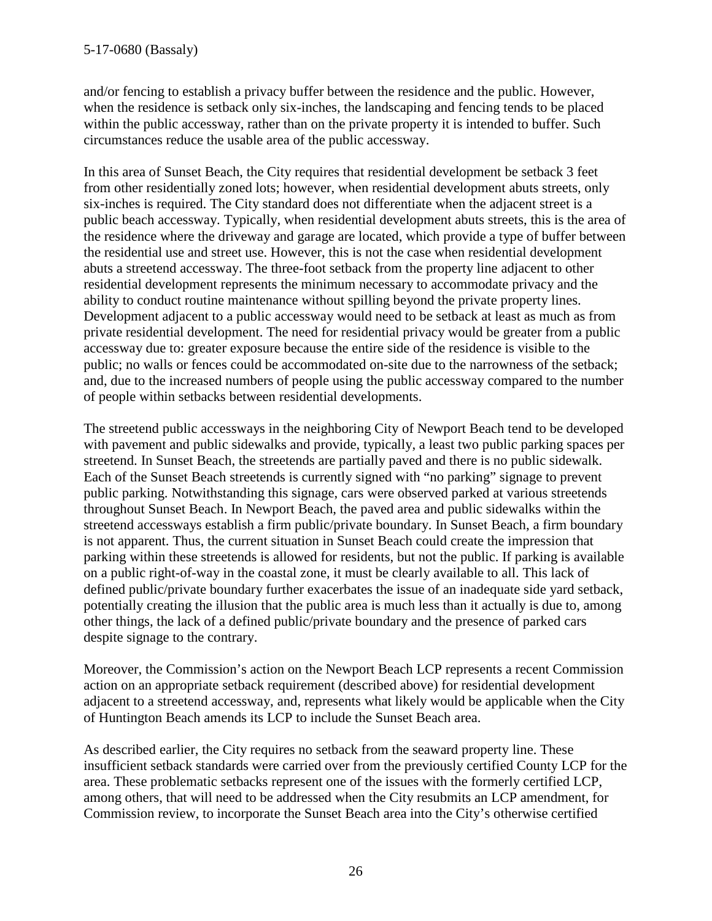and/or fencing to establish a privacy buffer between the residence and the public. However, when the residence is setback only six-inches, the landscaping and fencing tends to be placed within the public accessway, rather than on the private property it is intended to buffer. Such circumstances reduce the usable area of the public accessway.

In this area of Sunset Beach, the City requires that residential development be setback 3 feet from other residentially zoned lots; however, when residential development abuts streets, only six-inches is required. The City standard does not differentiate when the adjacent street is a public beach accessway. Typically, when residential development abuts streets, this is the area of the residence where the driveway and garage are located, which provide a type of buffer between the residential use and street use. However, this is not the case when residential development abuts a streetend accessway. The three-foot setback from the property line adjacent to other residential development represents the minimum necessary to accommodate privacy and the ability to conduct routine maintenance without spilling beyond the private property lines. Development adjacent to a public accessway would need to be setback at least as much as from private residential development. The need for residential privacy would be greater from a public accessway due to: greater exposure because the entire side of the residence is visible to the public; no walls or fences could be accommodated on-site due to the narrowness of the setback; and, due to the increased numbers of people using the public accessway compared to the number of people within setbacks between residential developments.

The streetend public accessways in the neighboring City of Newport Beach tend to be developed with pavement and public sidewalks and provide, typically, a least two public parking spaces per streetend. In Sunset Beach, the streetends are partially paved and there is no public sidewalk. Each of the Sunset Beach streetends is currently signed with "no parking" signage to prevent public parking. Notwithstanding this signage, cars were observed parked at various streetends throughout Sunset Beach. In Newport Beach, the paved area and public sidewalks within the streetend accessways establish a firm public/private boundary. In Sunset Beach, a firm boundary is not apparent. Thus, the current situation in Sunset Beach could create the impression that parking within these streetends is allowed for residents, but not the public. If parking is available on a public right-of-way in the coastal zone, it must be clearly available to all. This lack of defined public/private boundary further exacerbates the issue of an inadequate side yard setback, potentially creating the illusion that the public area is much less than it actually is due to, among other things, the lack of a defined public/private boundary and the presence of parked cars despite signage to the contrary.

Moreover, the Commission's action on the Newport Beach LCP represents a recent Commission action on an appropriate setback requirement (described above) for residential development adjacent to a streetend accessway, and, represents what likely would be applicable when the City of Huntington Beach amends its LCP to include the Sunset Beach area.

As described earlier, the City requires no setback from the seaward property line. These insufficient setback standards were carried over from the previously certified County LCP for the area. These problematic setbacks represent one of the issues with the formerly certified LCP, among others, that will need to be addressed when the City resubmits an LCP amendment, for Commission review, to incorporate the Sunset Beach area into the City's otherwise certified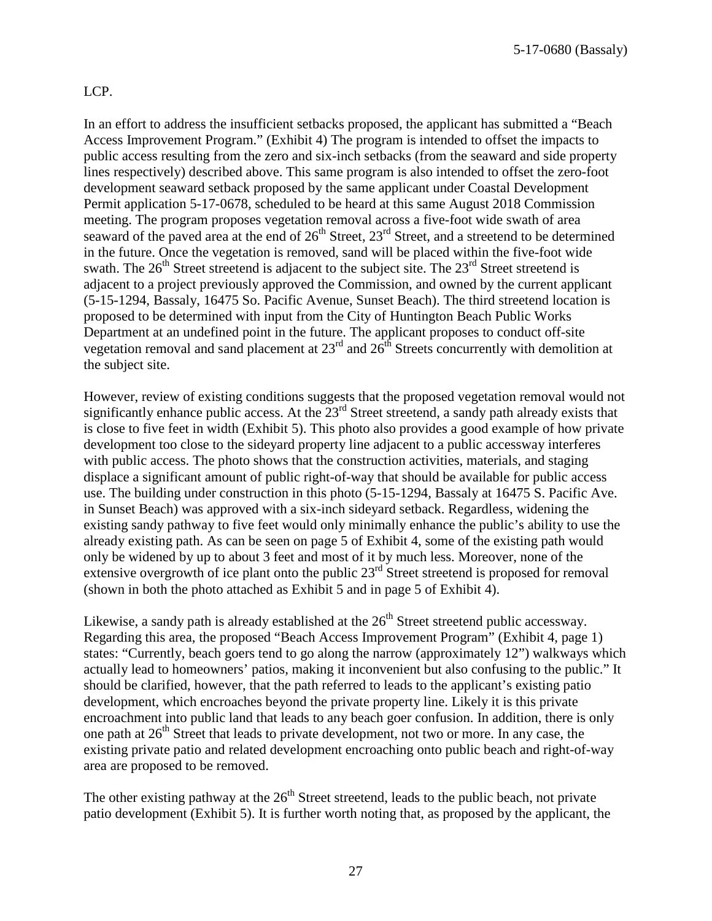#### LCP.

In an effort to address the insufficient setbacks proposed, the applicant has submitted a "Beach Access Improvement Program." (Exhibit 4) The program is intended to offset the impacts to public access resulting from the zero and six-inch setbacks (from the seaward and side property lines respectively) described above. This same program is also intended to offset the zero-foot development seaward setback proposed by the same applicant under Coastal Development Permit application 5-17-0678, scheduled to be heard at this same August 2018 Commission meeting. The program proposes vegetation removal across a five-foot wide swath of area seaward of the paved area at the end of  $26<sup>th</sup>$  Street,  $23<sup>rd</sup>$  Street, and a streetend to be determined in the future. Once the vegetation is removed, sand will be placed within the five-foot wide swath. The  $26<sup>th</sup>$  Street streetend is adjacent to the subject site. The  $23<sup>rd</sup>$  Street streetend is adjacent to a project previously approved the Commission, and owned by the current applicant (5-15-1294, Bassaly, 16475 So. Pacific Avenue, Sunset Beach). The third streetend location is proposed to be determined with input from the City of Huntington Beach Public Works Department at an undefined point in the future. The applicant proposes to conduct off-site vegetation removal and sand placement at  $23<sup>rd</sup>$  and  $26<sup>th</sup>$  Streets concurrently with demolition at the subject site.

However, review of existing conditions suggests that the proposed vegetation removal would not significantly enhance public access. At the  $23<sup>rd</sup>$  Street streetend, a sandy path already exists that is close to five feet in width (Exhibit 5). This photo also provides a good example of how private development too close to the sideyard property line adjacent to a public accessway interferes with public access. The photo shows that the construction activities, materials, and staging displace a significant amount of public right-of-way that should be available for public access use. The building under construction in this photo (5-15-1294, Bassaly at 16475 S. Pacific Ave. in Sunset Beach) was approved with a six-inch sideyard setback. Regardless, widening the existing sandy pathway to five feet would only minimally enhance the public's ability to use the already existing path. As can be seen on page 5 of Exhibit 4, some of the existing path would only be widened by up to about 3 feet and most of it by much less. Moreover, none of the extensive overgrowth of ice plant onto the public  $23<sup>rd</sup>$  Street streetend is proposed for removal (shown in both the photo attached as Exhibit 5 and in page 5 of Exhibit 4).

Likewise, a sandy path is already established at the  $26<sup>th</sup>$  Street streetend public accessway. Regarding this area, the proposed "Beach Access Improvement Program" (Exhibit 4, page 1) states: "Currently, beach goers tend to go along the narrow (approximately 12") walkways which actually lead to homeowners' patios, making it inconvenient but also confusing to the public." It should be clarified, however, that the path referred to leads to the applicant's existing patio development, which encroaches beyond the private property line. Likely it is this private encroachment into public land that leads to any beach goer confusion. In addition, there is only one path at  $26<sup>th</sup>$  Street that leads to private development, not two or more. In any case, the existing private patio and related development encroaching onto public beach and right-of-way area are proposed to be removed.

The other existing pathway at the  $26<sup>th</sup>$  Street streetend, leads to the public beach, not private patio development (Exhibit 5). It is further worth noting that, as proposed by the applicant, the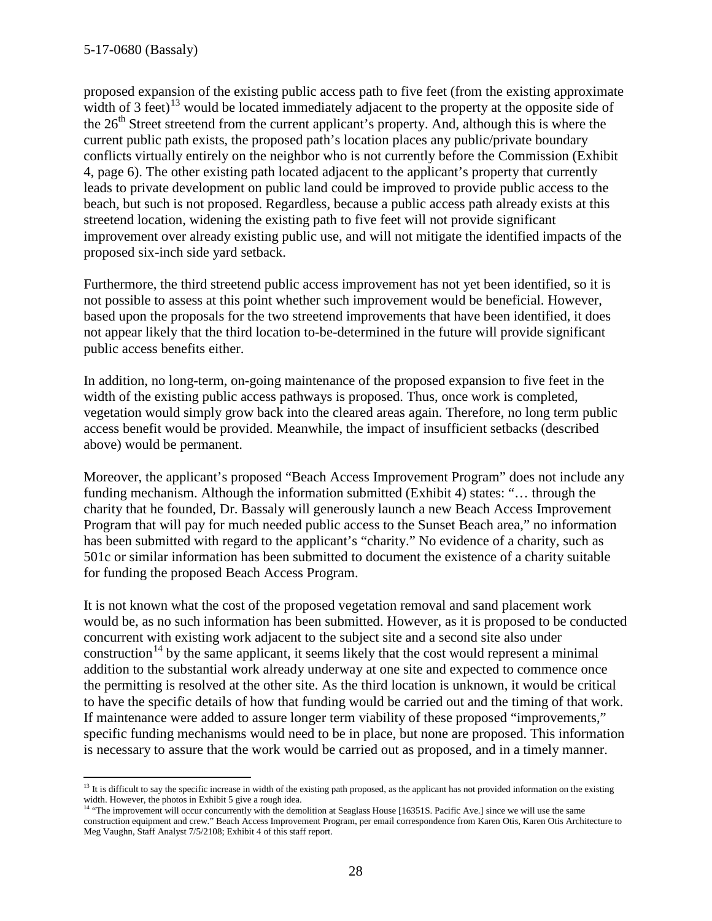proposed expansion of the existing public access path to five feet (from the existing approximate width of 3 feet)<sup>[13](#page-27-0)</sup> would be located immediately adjacent to the property at the opposite side of the 26<sup>th</sup> Street streetend from the current applicant's property. And, although this is where the current public path exists, the proposed path's location places any public/private boundary conflicts virtually entirely on the neighbor who is not currently before the Commission (Exhibit 4, page 6). The other existing path located adjacent to the applicant's property that currently leads to private development on public land could be improved to provide public access to the beach, but such is not proposed. Regardless, because a public access path already exists at this streetend location, widening the existing path to five feet will not provide significant improvement over already existing public use, and will not mitigate the identified impacts of the proposed six-inch side yard setback.

Furthermore, the third streetend public access improvement has not yet been identified, so it is not possible to assess at this point whether such improvement would be beneficial. However, based upon the proposals for the two streetend improvements that have been identified, it does not appear likely that the third location to-be-determined in the future will provide significant public access benefits either.

In addition, no long-term, on-going maintenance of the proposed expansion to five feet in the width of the existing public access pathways is proposed. Thus, once work is completed, vegetation would simply grow back into the cleared areas again. Therefore, no long term public access benefit would be provided. Meanwhile, the impact of insufficient setbacks (described above) would be permanent.

Moreover, the applicant's proposed "Beach Access Improvement Program" does not include any funding mechanism. Although the information submitted (Exhibit 4) states: "… through the charity that he founded, Dr. Bassaly will generously launch a new Beach Access Improvement Program that will pay for much needed public access to the Sunset Beach area," no information has been submitted with regard to the applicant's "charity." No evidence of a charity, such as 501c or similar information has been submitted to document the existence of a charity suitable for funding the proposed Beach Access Program.

It is not known what the cost of the proposed vegetation removal and sand placement work would be, as no such information has been submitted. However, as it is proposed to be conducted concurrent with existing work adjacent to the subject site and a second site also under construction<sup>[14](#page-27-1)</sup> by the same applicant, it seems likely that the cost would represent a minimal addition to the substantial work already underway at one site and expected to commence once the permitting is resolved at the other site. As the third location is unknown, it would be critical to have the specific details of how that funding would be carried out and the timing of that work. If maintenance were added to assure longer term viability of these proposed "improvements," specific funding mechanisms would need to be in place, but none are proposed. This information is necessary to assure that the work would be carried out as proposed, and in a timely manner.

<span id="page-27-0"></span> $\overline{a}$  $<sup>13</sup>$  It is difficult to say the specific increase in width of the existing path proposed, as the applicant has not provided information on the existing</sup> width. However, the photos in Exhibit 5 give a rough idea.

<span id="page-27-1"></span><sup>&</sup>lt;sup>14</sup> "The improvement will occur concurrently with the demolition at Seaglass House [16351S. Pacific Ave.] since we will use the same construction equipment and crew." Beach Access Improvement Program, per email correspondence from Karen Otis, Karen Otis Architecture to Meg Vaughn, Staff Analyst 7/5/2108; Exhibit 4 of this staff report.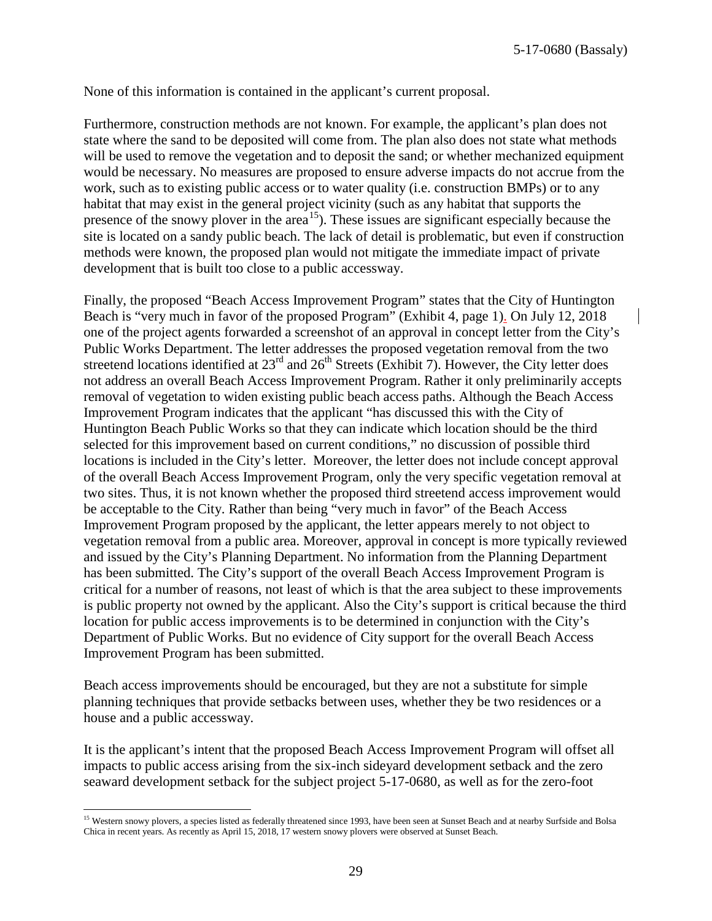None of this information is contained in the applicant's current proposal.

Furthermore, construction methods are not known. For example, the applicant's plan does not state where the sand to be deposited will come from. The plan also does not state what methods will be used to remove the vegetation and to deposit the sand; or whether mechanized equipment would be necessary. No measures are proposed to ensure adverse impacts do not accrue from the work, such as to existing public access or to water quality (i.e. construction BMPs) or to any habitat that may exist in the general project vicinity (such as any habitat that supports the presence of the snowy plover in the area<sup>[15](#page-28-0)</sup>). These issues are significant especially because the site is located on a sandy public beach. The lack of detail is problematic, but even if construction methods were known, the proposed plan would not mitigate the immediate impact of private development that is built too close to a public accessway.

Finally, the proposed "Beach Access Improvement Program" states that the City of Huntington Beach is "very much in favor of the proposed Program" (Exhibit 4, page 1). On July 12, 2018 one of the project agents forwarded a screenshot of an approval in concept letter from the City's Public Works Department. The letter addresses the proposed vegetation removal from the two streetend locations identified at  $23<sup>rd</sup>$  and  $26<sup>th</sup>$  Streets (Exhibit 7). However, the City letter does not address an overall Beach Access Improvement Program. Rather it only preliminarily accepts removal of vegetation to widen existing public beach access paths. Although the Beach Access Improvement Program indicates that the applicant "has discussed this with the City of Huntington Beach Public Works so that they can indicate which location should be the third selected for this improvement based on current conditions," no discussion of possible third locations is included in the City's letter. Moreover, the letter does not include concept approval of the overall Beach Access Improvement Program, only the very specific vegetation removal at two sites. Thus, it is not known whether the proposed third streetend access improvement would be acceptable to the City. Rather than being "very much in favor" of the Beach Access Improvement Program proposed by the applicant, the letter appears merely to not object to vegetation removal from a public area. Moreover, approval in concept is more typically reviewed and issued by the City's Planning Department. No information from the Planning Department has been submitted. The City's support of the overall Beach Access Improvement Program is critical for a number of reasons, not least of which is that the area subject to these improvements is public property not owned by the applicant. Also the City's support is critical because the third location for public access improvements is to be determined in conjunction with the City's Department of Public Works. But no evidence of City support for the overall Beach Access Improvement Program has been submitted.

Beach access improvements should be encouraged, but they are not a substitute for simple planning techniques that provide setbacks between uses, whether they be two residences or a house and a public accessway.

It is the applicant's intent that the proposed Beach Access Improvement Program will offset all impacts to public access arising from the six-inch sideyard development setback and the zero seaward development setback for the subject project 5-17-0680, as well as for the zero-foot

<span id="page-28-0"></span> $\overline{a}$ <sup>15</sup> Western snowy plovers, a species listed as federally threatened since 1993, have been seen at Sunset Beach and at nearby Surfside and Bolsa Chica in recent years. As recently as April 15, 2018, 17 western snowy plovers were observed at Sunset Beach.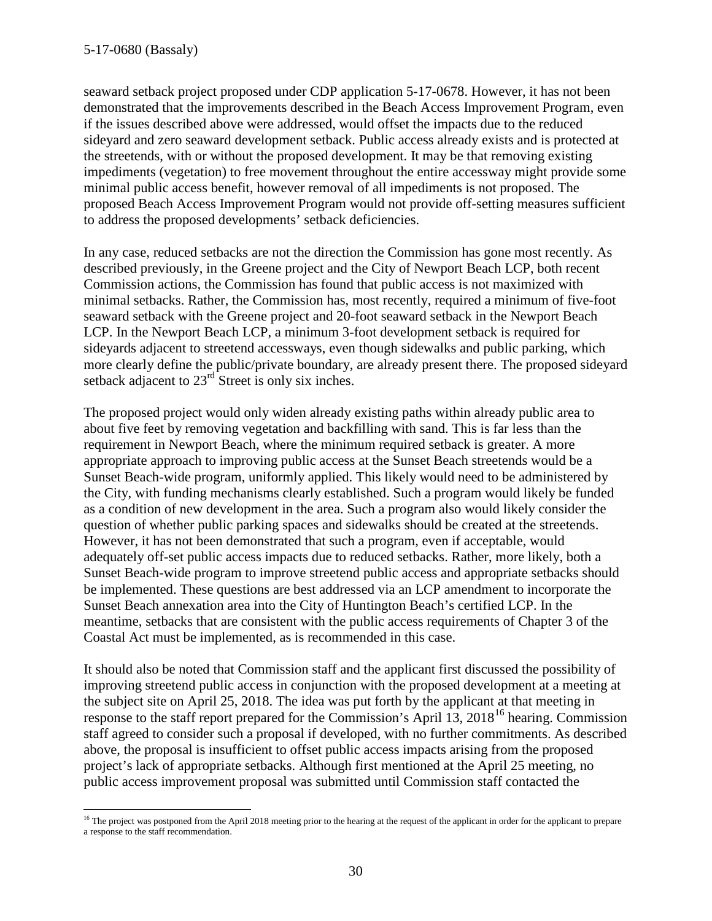seaward setback project proposed under CDP application 5-17-0678. However, it has not been demonstrated that the improvements described in the Beach Access Improvement Program, even if the issues described above were addressed, would offset the impacts due to the reduced sideyard and zero seaward development setback. Public access already exists and is protected at the streetends, with or without the proposed development. It may be that removing existing impediments (vegetation) to free movement throughout the entire accessway might provide some minimal public access benefit, however removal of all impediments is not proposed. The proposed Beach Access Improvement Program would not provide off-setting measures sufficient to address the proposed developments' setback deficiencies.

In any case, reduced setbacks are not the direction the Commission has gone most recently. As described previously, in the Greene project and the City of Newport Beach LCP, both recent Commission actions, the Commission has found that public access is not maximized with minimal setbacks. Rather, the Commission has, most recently, required a minimum of five-foot seaward setback with the Greene project and 20-foot seaward setback in the Newport Beach LCP. In the Newport Beach LCP, a minimum 3-foot development setback is required for sideyards adjacent to streetend accessways, even though sidewalks and public parking, which more clearly define the public/private boundary, are already present there. The proposed sideyard setback adjacent to  $23<sup>rd</sup>$  Street is only six inches.

The proposed project would only widen already existing paths within already public area to about five feet by removing vegetation and backfilling with sand. This is far less than the requirement in Newport Beach, where the minimum required setback is greater. A more appropriate approach to improving public access at the Sunset Beach streetends would be a Sunset Beach-wide program, uniformly applied. This likely would need to be administered by the City, with funding mechanisms clearly established. Such a program would likely be funded as a condition of new development in the area. Such a program also would likely consider the question of whether public parking spaces and sidewalks should be created at the streetends. However, it has not been demonstrated that such a program, even if acceptable, would adequately off-set public access impacts due to reduced setbacks. Rather, more likely, both a Sunset Beach-wide program to improve streetend public access and appropriate setbacks should be implemented. These questions are best addressed via an LCP amendment to incorporate the Sunset Beach annexation area into the City of Huntington Beach's certified LCP. In the meantime, setbacks that are consistent with the public access requirements of Chapter 3 of the Coastal Act must be implemented, as is recommended in this case.

It should also be noted that Commission staff and the applicant first discussed the possibility of improving streetend public access in conjunction with the proposed development at a meeting at the subject site on April 25, 2018. The idea was put forth by the applicant at that meeting in response to the staff report prepared for the Commission's April 13, 2018<sup>[16](#page-29-0)</sup> hearing. Commission staff agreed to consider such a proposal if developed, with no further commitments. As described above, the proposal is insufficient to offset public access impacts arising from the proposed project's lack of appropriate setbacks. Although first mentioned at the April 25 meeting, no public access improvement proposal was submitted until Commission staff contacted the

<span id="page-29-0"></span> $\overline{a}$ <sup>16</sup> The project was postponed from the April 2018 meeting prior to the hearing at the request of the applicant in order for the applicant to prepare a response to the staff recommendation.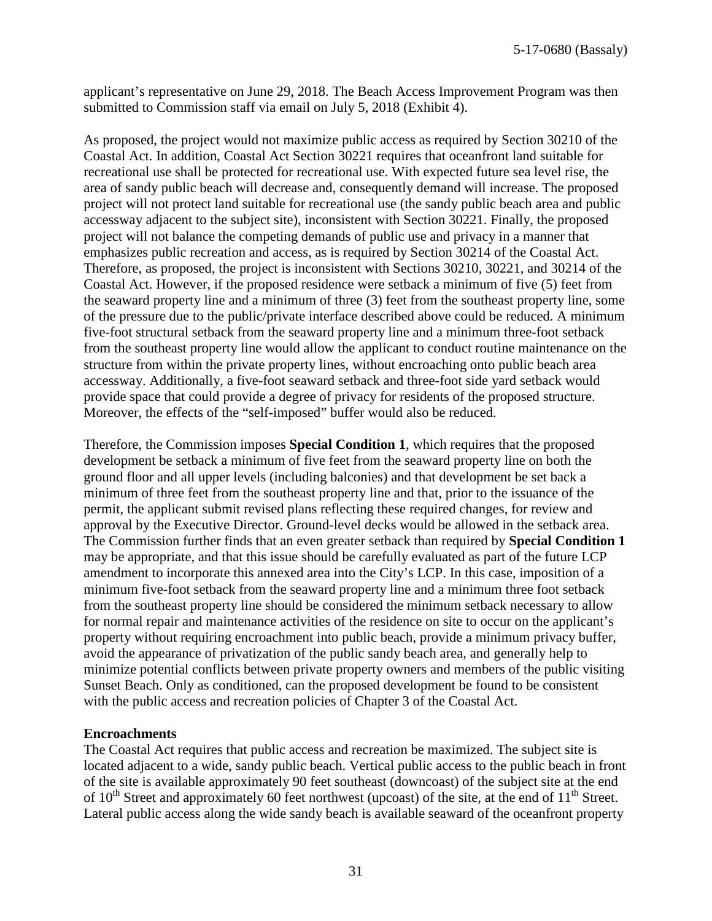applicant's representative on June 29, 2018. The Beach Access Improvement Program was then submitted to Commission staff via email on July 5, 2018 (Exhibit 4).

As proposed, the project would not maximize public access as required by Section 30210 of the Coastal Act. In addition, Coastal Act Section 30221 requires that oceanfront land suitable for recreational use shall be protected for recreational use. With expected future sea level rise, the area of sandy public beach will decrease and, consequently demand will increase. The proposed project will not protect land suitable for recreational use (the sandy public beach area and public accessway adjacent to the subject site), inconsistent with Section 30221. Finally, the proposed project will not balance the competing demands of public use and privacy in a manner that emphasizes public recreation and access, as is required by Section 30214 of the Coastal Act. Therefore, as proposed, the project is inconsistent with Sections 30210, 30221, and 30214 of the Coastal Act. However, if the proposed residence were setback a minimum of five (5) feet from the seaward property line and a minimum of three (3) feet from the southeast property line, some of the pressure due to the public/private interface described above could be reduced. A minimum five-foot structural setback from the seaward property line and a minimum three-foot setback from the southeast property line would allow the applicant to conduct routine maintenance on the structure from within the private property lines, without encroaching onto public beach area accessway. Additionally, a five-foot seaward setback and three-foot side yard setback would provide space that could provide a degree of privacy for residents of the proposed structure. Moreover, the effects of the "self-imposed" buffer would also be reduced.

Therefore, the Commission imposes **Special Condition 1**, which requires that the proposed development be setback a minimum of five feet from the seaward property line on both the ground floor and all upper levels (including balconies) and that development be set back a minimum of three feet from the southeast property line and that, prior to the issuance of the permit, the applicant submit revised plans reflecting these required changes, for review and approval by the Executive Director. Ground-level decks would be allowed in the setback area. The Commission further finds that an even greater setback than required by **Special Condition 1** may be appropriate, and that this issue should be carefully evaluated as part of the future LCP amendment to incorporate this annexed area into the City's LCP. In this case, imposition of a minimum five-foot setback from the seaward property line and a minimum three foot setback from the southeast property line should be considered the minimum setback necessary to allow for normal repair and maintenance activities of the residence on site to occur on the applicant's property without requiring encroachment into public beach, provide a minimum privacy buffer, avoid the appearance of privatization of the public sandy beach area, and generally help to minimize potential conflicts between private property owners and members of the public visiting Sunset Beach. Only as conditioned, can the proposed development be found to be consistent with the public access and recreation policies of Chapter 3 of the Coastal Act.

#### **Encroachments**

The Coastal Act requires that public access and recreation be maximized. The subject site is located adjacent to a wide, sandy public beach. Vertical public access to the public beach in front of the site is available approximately 90 feet southeast (downcoast) of the subject site at the end of  $10^{th}$  Street and approximately 60 feet northwest (upcoast) of the site, at the end of  $11^{th}$  Street. Lateral public access along the wide sandy beach is available seaward of the oceanfront property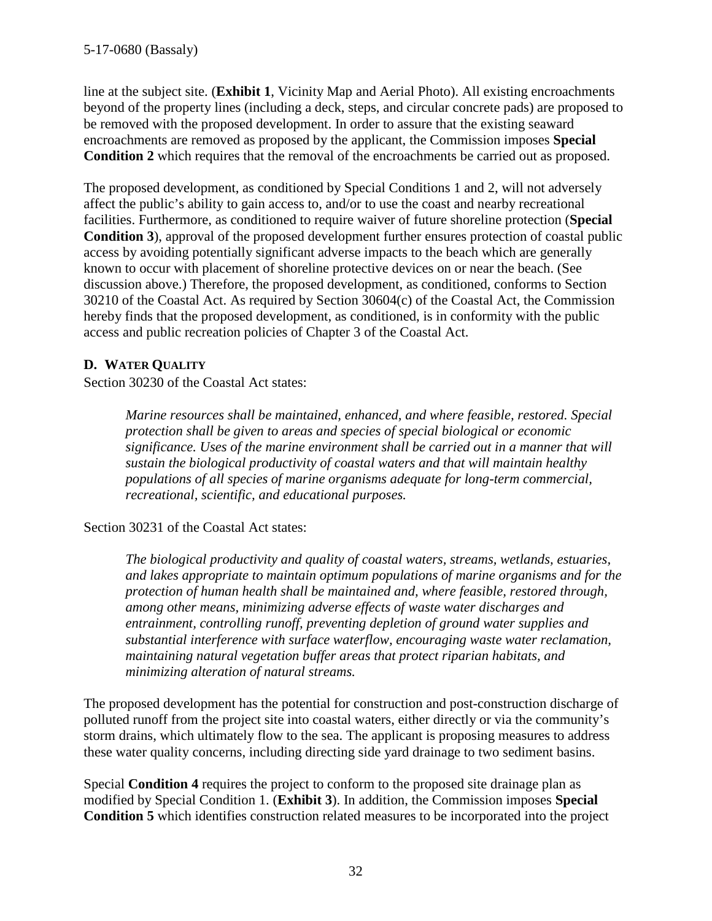line at the subject site. (**Exhibit 1**, Vicinity Map and Aerial Photo). All existing encroachments beyond of the property lines (including a deck, steps, and circular concrete pads) are proposed to be removed with the proposed development. In order to assure that the existing seaward encroachments are removed as proposed by the applicant, the Commission imposes **Special Condition 2** which requires that the removal of the encroachments be carried out as proposed.

The proposed development, as conditioned by Special Conditions 1 and 2, will not adversely affect the public's ability to gain access to, and/or to use the coast and nearby recreational facilities. Furthermore, as conditioned to require waiver of future shoreline protection (**Special Condition 3**), approval of the proposed development further ensures protection of coastal public access by avoiding potentially significant adverse impacts to the beach which are generally known to occur with placement of shoreline protective devices on or near the beach. (See discussion above.) Therefore, the proposed development, as conditioned, conforms to Section 30210 of the Coastal Act. As required by Section 30604(c) of the Coastal Act, the Commission hereby finds that the proposed development, as conditioned, is in conformity with the public access and public recreation policies of Chapter 3 of the Coastal Act.

## **D. WATER QUALITY**

Section 30230 of the Coastal Act states:

*Marine resources shall be maintained, enhanced, and where feasible, restored. Special protection shall be given to areas and species of special biological or economic significance. Uses of the marine environment shall be carried out in a manner that will sustain the biological productivity of coastal waters and that will maintain healthy populations of all species of marine organisms adequate for long-term commercial, recreational, scientific, and educational purposes.* 

Section 30231 of the Coastal Act states:

*The biological productivity and quality of coastal waters, streams, wetlands, estuaries, and lakes appropriate to maintain optimum populations of marine organisms and for the protection of human health shall be maintained and, where feasible, restored through, among other means, minimizing adverse effects of waste water discharges and entrainment, controlling runoff, preventing depletion of ground water supplies and substantial interference with surface waterflow, encouraging waste water reclamation, maintaining natural vegetation buffer areas that protect riparian habitats, and minimizing alteration of natural streams.* 

The proposed development has the potential for construction and post-construction discharge of polluted runoff from the project site into coastal waters, either directly or via the community's storm drains, which ultimately flow to the sea. The applicant is proposing measures to address these water quality concerns, including directing side yard drainage to two sediment basins.

Special **Condition 4** requires the project to conform to the proposed site drainage plan as modified by Special Condition 1. (**Exhibit 3**). In addition, the Commission imposes **Special Condition 5** which identifies construction related measures to be incorporated into the project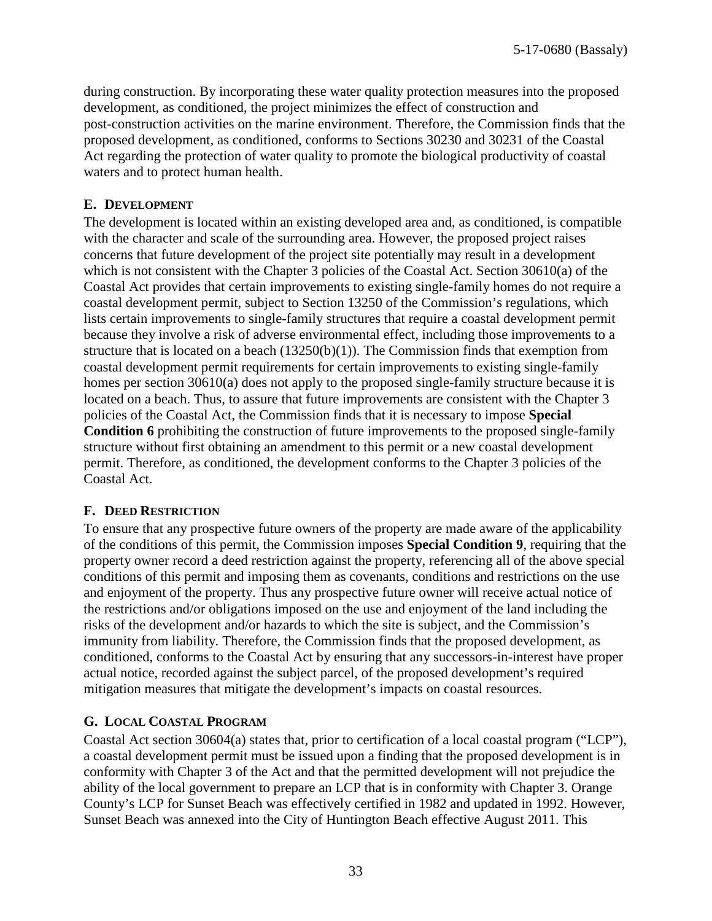during construction. By incorporating these water quality protection measures into the proposed development, as conditioned, the project minimizes the effect of construction and post-construction activities on the marine environment. Therefore, the Commission finds that the proposed development, as conditioned, conforms to Sections 30230 and 30231 of the Coastal Act regarding the protection of water quality to promote the biological productivity of coastal waters and to protect human health.

## **E. DEVELOPMENT**

The development is located within an existing developed area and, as conditioned, is compatible with the character and scale of the surrounding area. However, the proposed project raises concerns that future development of the project site potentially may result in a development which is not consistent with the Chapter 3 policies of the Coastal Act. Section 30610(a) of the Coastal Act provides that certain improvements to existing single-family homes do not require a coastal development permit, subject to Section 13250 of the Commission's regulations, which lists certain improvements to single-family structures that require a coastal development permit because they involve a risk of adverse environmental effect, including those improvements to a structure that is located on a beach  $(13250(b)(1))$ . The Commission finds that exemption from coastal development permit requirements for certain improvements to existing single-family homes per section 30610(a) does not apply to the proposed single-family structure because it is located on a beach. Thus, to assure that future improvements are consistent with the Chapter 3 policies of the Coastal Act, the Commission finds that it is necessary to impose **Special Condition 6** prohibiting the construction of future improvements to the proposed single-family structure without first obtaining an amendment to this permit or a new coastal development permit. Therefore, as conditioned, the development conforms to the Chapter 3 policies of the Coastal Act.

## **F. DEED RESTRICTION**

To ensure that any prospective future owners of the property are made aware of the applicability of the conditions of this permit, the Commission imposes **Special Condition 9**, requiring that the property owner record a deed restriction against the property, referencing all of the above special conditions of this permit and imposing them as covenants, conditions and restrictions on the use and enjoyment of the property. Thus any prospective future owner will receive actual notice of the restrictions and/or obligations imposed on the use and enjoyment of the land including the risks of the development and/or hazards to which the site is subject, and the Commission's immunity from liability. Therefore, the Commission finds that the proposed development, as conditioned, conforms to the Coastal Act by ensuring that any successors-in-interest have proper actual notice, recorded against the subject parcel, of the proposed development's required mitigation measures that mitigate the development's impacts on coastal resources.

## **G. LOCAL COASTAL PROGRAM**

Coastal Act section 30604(a) states that, prior to certification of a local coastal program ("LCP"), a coastal development permit must be issued upon a finding that the proposed development is in conformity with Chapter 3 of the Act and that the permitted development will not prejudice the ability of the local government to prepare an LCP that is in conformity with Chapter 3. Orange County's LCP for Sunset Beach was effectively certified in 1982 and updated in 1992. However, Sunset Beach was annexed into the City of Huntington Beach effective August 2011. This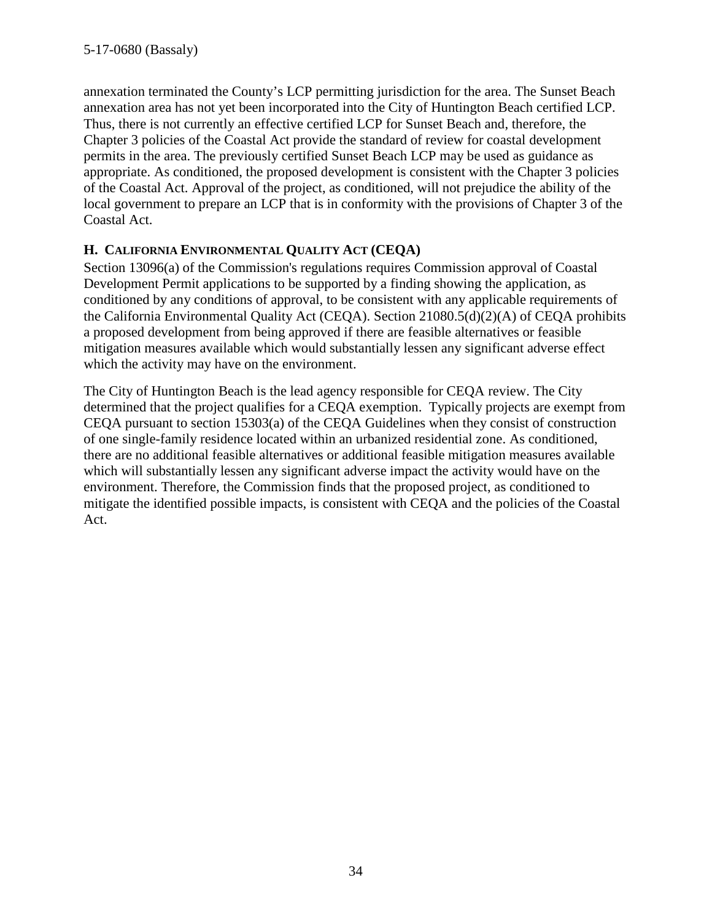annexation terminated the County's LCP permitting jurisdiction for the area. The Sunset Beach annexation area has not yet been incorporated into the City of Huntington Beach certified LCP. Thus, there is not currently an effective certified LCP for Sunset Beach and, therefore, the Chapter 3 policies of the Coastal Act provide the standard of review for coastal development permits in the area. The previously certified Sunset Beach LCP may be used as guidance as appropriate. As conditioned, the proposed development is consistent with the Chapter 3 policies of the Coastal Act. Approval of the project, as conditioned, will not prejudice the ability of the local government to prepare an LCP that is in conformity with the provisions of Chapter 3 of the Coastal Act.

## **H. CALIFORNIA ENVIRONMENTAL QUALITY ACT (CEQA)**

Section 13096(a) of the Commission's regulations requires Commission approval of Coastal Development Permit applications to be supported by a finding showing the application, as conditioned by any conditions of approval, to be consistent with any applicable requirements of the California Environmental Quality Act (CEQA). Section 21080.5(d)(2)(A) of CEQA prohibits a proposed development from being approved if there are feasible alternatives or feasible mitigation measures available which would substantially lessen any significant adverse effect which the activity may have on the environment.

The City of Huntington Beach is the lead agency responsible for CEQA review. The City determined that the project qualifies for a CEQA exemption. Typically projects are exempt from CEQA pursuant to section 15303(a) of the CEQA Guidelines when they consist of construction of one single-family residence located within an urbanized residential zone. As conditioned, there are no additional feasible alternatives or additional feasible mitigation measures available which will substantially lessen any significant adverse impact the activity would have on the environment. Therefore, the Commission finds that the proposed project, as conditioned to mitigate the identified possible impacts, is consistent with CEQA and the policies of the Coastal Act.